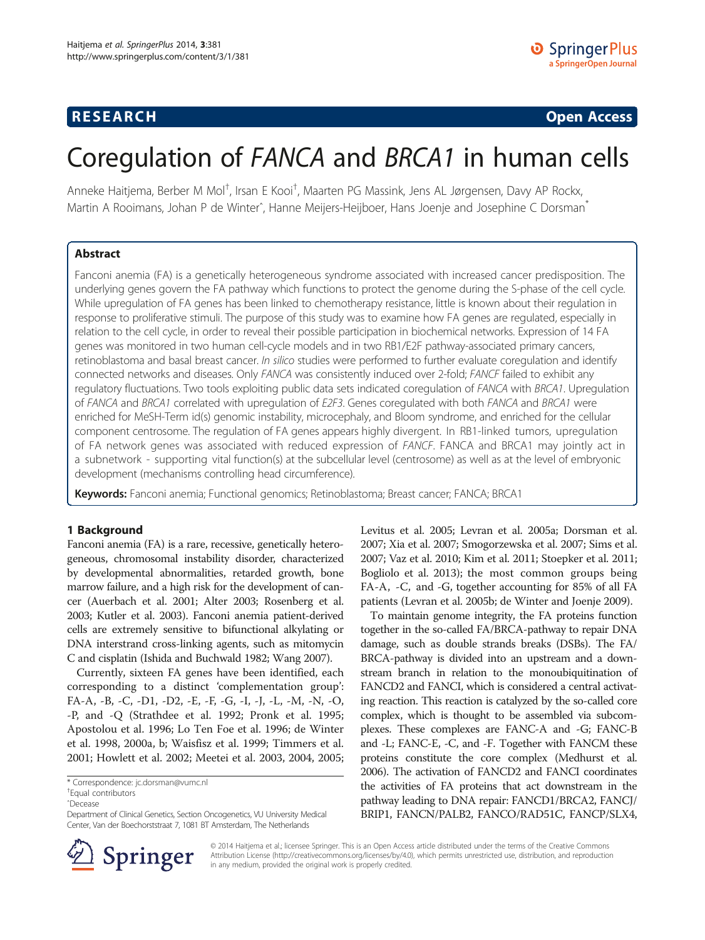# **RESEARCH CHINESE ARCH CHINESE ARCH CHINESE ARCH <b>CHINESE ARCH**

# Coregulation of FANCA and BRCA1 in human cells

Anneke Haitjema, Berber M Mol<sup>†</sup>, Irsan E Kooi<sup>†</sup>, Maarten PG Massink, Jens AL Jørgensen, Davy AP Rockx, Martin A Rooimans, Johan P de Winter<sup>^</sup>, Hanne Meijers-Heijboer, Hans Joenje and Josephine C Dorsman<sup>\*</sup>

## Abstract

Fanconi anemia (FA) is a genetically heterogeneous syndrome associated with increased cancer predisposition. The underlying genes govern the FA pathway which functions to protect the genome during the S-phase of the cell cycle. While upregulation of FA genes has been linked to chemotherapy resistance, little is known about their regulation in response to proliferative stimuli. The purpose of this study was to examine how FA genes are regulated, especially in relation to the cell cycle, in order to reveal their possible participation in biochemical networks. Expression of 14 FA genes was monitored in two human cell-cycle models and in two RB1/E2F pathway-associated primary cancers, retinoblastoma and basal breast cancer. In silico studies were performed to further evaluate coregulation and identify connected networks and diseases. Only FANCA was consistently induced over 2-fold; FANCF failed to exhibit any regulatory fluctuations. Two tools exploiting public data sets indicated coregulation of FANCA with BRCA1. Upregulation of FANCA and BRCA1 correlated with upregulation of E2F3. Genes coregulated with both FANCA and BRCA1 were enriched for MeSH-Term id(s) genomic instability, microcephaly, and Bloom syndrome, and enriched for the cellular component centrosome. The regulation of FA genes appears highly divergent. In RB1-linked tumors, upregulation of FA network genes was associated with reduced expression of FANCF. FANCA and BRCA1 may jointly act in a subnetwork - supporting vital function(s) at the subcellular level (centrosome) as well as at the level of embryonic development (mechanisms controlling head circumference).

Keywords: Fanconi anemia; Functional genomics; Retinoblastoma; Breast cancer; FANCA; BRCA1

#### 1 Background

Fanconi anemia (FA) is a rare, recessive, genetically heterogeneous, chromosomal instability disorder, characterized by developmental abnormalities, retarded growth, bone marrow failure, and a high risk for the development of cancer (Auerbach et al. [2001](#page-11-0); Alter [2003](#page-10-0); Rosenberg et al. [2003;](#page-12-0) Kutler et al. [2003\)](#page-11-0). Fanconi anemia patient-derived cells are extremely sensitive to bifunctional alkylating or DNA interstrand cross-linking agents, such as mitomycin C and cisplatin (Ishida and Buchwald [1982;](#page-11-0) Wang [2007\)](#page-12-0).

Currently, sixteen FA genes have been identified, each corresponding to a distinct 'complementation group': FA-A, -B, -C, -D1, -D2, -E, -F, -G, -I, -J, -L, -M, -N, -O, -P, and -Q (Strathdee et al. [1992;](#page-12-0) Pronk et al. [1995](#page-12-0); Apostolou et al. [1996;](#page-10-0) Lo Ten Foe et al. [1996](#page-12-0); de Winter et al. [1998](#page-11-0), [2000a, b](#page-11-0); Waisfisz et al. [1999;](#page-12-0) Timmers et al. [2001](#page-12-0); Howlett et al. [2002;](#page-11-0) Meetei et al. [2003, 2004, 2005](#page-12-0);

\* Correspondence: [jc.dorsman@vumc.nl](mailto:jc.dorsman@vumc.nl) †

Equal contributors ˆDecease



To maintain genome integrity, the FA proteins function together in the so-called FA/BRCA-pathway to repair DNA damage, such as double strands breaks (DSBs). The FA/ BRCA-pathway is divided into an upstream and a downstream branch in relation to the monoubiquitination of FANCD2 and FANCI, which is considered a central activating reaction. This reaction is catalyzed by the so-called core complex, which is thought to be assembled via subcomplexes. These complexes are FANC-A and -G; FANC-B and -L; FANC-E, -C, and -F. Together with FANCM these proteins constitute the core complex (Medhurst et al. [2006\)](#page-12-0). The activation of FANCD2 and FANCI coordinates the activities of FA proteins that act downstream in the pathway leading to DNA repair: FANCD1/BRCA2, FANCJ/ BRIP1, FANCN/PALB2, FANCO/RAD51C, FANCP/SLX4,



© 2014 Haitjema et al.; licensee Springer. This is an Open Access article distributed under the terms of the Creative Commons Attribution License [\(http://creativecommons.org/licenses/by/4.0\)](http://creativecommons.org/licenses/by/4.0), which permits unrestricted use, distribution, and reproduction in any medium, provided the original work is properly credited.

Department of Clinical Genetics, Section Oncogenetics, VU University Medical Center, Van der Boechorststraat 7, 1081 BT Amsterdam, The Netherlands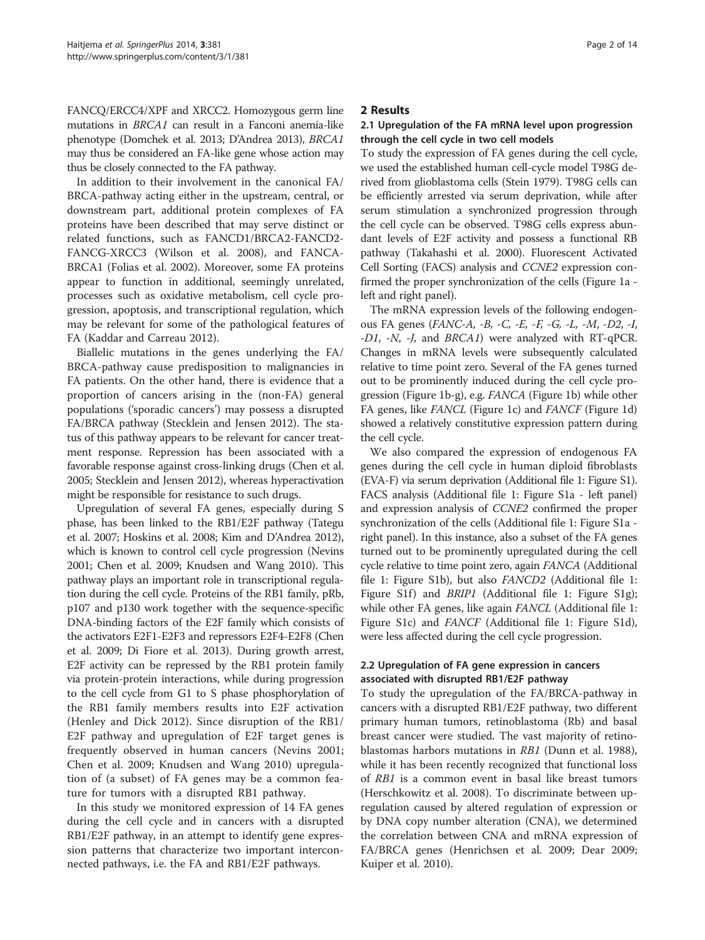FANCQ/ERCC4/XPF and XRCC2. Homozygous germ line mutations in BRCA1 can result in a Fanconi anemia-like phenotype (Domchek et al. [2013;](#page-11-0) D'Andrea [2013\)](#page-11-0), BRCA1 may thus be considered an FA-like gene whose action may thus be closely connected to the FA pathway.

In addition to their involvement in the canonical FA/ BRCA-pathway acting either in the upstream, central, or downstream part, additional protein complexes of FA proteins have been described that may serve distinct or related functions, such as FANCD1/BRCA2-FANCD2- FANCG-XRCC3 (Wilson et al. [2008\)](#page-12-0), and FANCA-BRCA1 (Folias et al. [2002\)](#page-11-0). Moreover, some FA proteins appear to function in additional, seemingly unrelated, processes such as oxidative metabolism, cell cycle progression, apoptosis, and transcriptional regulation, which may be relevant for some of the pathological features of FA (Kaddar and Carreau [2012\)](#page-11-0).

Biallelic mutations in the genes underlying the FA/ BRCA-pathway cause predisposition to malignancies in FA patients. On the other hand, there is evidence that a proportion of cancers arising in the (non-FA) general populations ('sporadic cancers') may possess a disrupted FA/BRCA pathway (Stecklein and Jensen [2012\)](#page-12-0). The status of this pathway appears to be relevant for cancer treatment response. Repression has been associated with a favorable response against cross-linking drugs (Chen et al. [2005;](#page-11-0) Stecklein and Jensen [2012\)](#page-12-0), whereas hyperactivation might be responsible for resistance to such drugs.

Upregulation of several FA genes, especially during S phase, has been linked to the RB1/E2F pathway (Tategu et al. [2007;](#page-12-0) Hoskins et al. [2008;](#page-11-0) Kim and D'Andrea [2012](#page-11-0)), which is known to control cell cycle progression (Nevins [2001;](#page-12-0) Chen et al. [2009](#page-11-0); Knudsen and Wang [2010](#page-11-0)). This pathway plays an important role in transcriptional regulation during the cell cycle. Proteins of the RB1 family, pRb, p107 and p130 work together with the sequence-specific DNA-binding factors of the E2F family which consists of the activators E2F1-E2F3 and repressors E2F4-E2F8 (Chen et al. [2009](#page-11-0); Di Fiore et al. [2013\)](#page-11-0). During growth arrest, E2F activity can be repressed by the RB1 protein family via protein-protein interactions, while during progression to the cell cycle from G1 to S phase phosphorylation of the RB1 family members results into E2F activation (Henley and Dick [2012\)](#page-11-0). Since disruption of the RB1/ E2F pathway and upregulation of E2F target genes is frequently observed in human cancers (Nevins [2001](#page-12-0); Chen et al. [2009](#page-11-0); Knudsen and Wang [2010](#page-11-0)) upregulation of (a subset) of FA genes may be a common feature for tumors with a disrupted RB1 pathway.

In this study we monitored expression of 14 FA genes during the cell cycle and in cancers with a disrupted RB1/E2F pathway, in an attempt to identify gene expression patterns that characterize two important interconnected pathways, i.e. the FA and RB1/E2F pathways.

## 2 Results

# 2.1 Upregulation of the FA mRNA level upon progression through the cell cycle in two cell models

To study the expression of FA genes during the cell cycle, we used the established human cell-cycle model T98G derived from glioblastoma cells (Stein [1979\)](#page-12-0). T98G cells can be efficiently arrested via serum deprivation, while after serum stimulation a synchronized progression through the cell cycle can be observed. T98G cells express abundant levels of E2F activity and possess a functional RB pathway (Takahashi et al. [2000](#page-12-0)). Fluorescent Activated Cell Sorting (FACS) analysis and CCNE2 expression confirmed the proper synchronization of the cells (Figure [1a](#page-2-0) left and right panel).

The mRNA expression levels of the following endogenous FA genes (FANC-A, -B, -C, -E, -F, -G, -L, -M, -D2, -I, -D1, -N, -J, and BRCA1) were analyzed with RT-qPCR. Changes in mRNA levels were subsequently calculated relative to time point zero. Several of the FA genes turned out to be prominently induced during the cell cycle progression (Figure [1b](#page-2-0)-g), e.g. FANCA (Figure [1b](#page-2-0)) while other FA genes, like FANCL (Figure [1](#page-2-0)c) and FANCF (Figure [1](#page-2-0)d) showed a relatively constitutive expression pattern during the cell cycle.

We also compared the expression of endogenous FA genes during the cell cycle in human diploid fibroblasts (EVA-F) via serum deprivation (Additional file [1](#page-10-0): Figure S1). FACS analysis (Additional file [1](#page-10-0): Figure S1a - left panel) and expression analysis of CCNE2 confirmed the proper synchronization of the cells (Additional file [1](#page-10-0): Figure S1a right panel). In this instance, also a subset of the FA genes turned out to be prominently upregulated during the cell cycle relative to time point zero, again FANCA (Additional file [1](#page-10-0): Figure S1b), but also FANCD2 (Additional file [1](#page-10-0): Figure S1f) and *BRIP1* (Additional file [1:](#page-10-0) Figure S1g); while other FA genes, like again FANCL (Additional file [1](#page-10-0): Figure S1c) and FANCF (Additional file [1:](#page-10-0) Figure S1d), were less affected during the cell cycle progression.

# 2.2 Upregulation of FA gene expression in cancers associated with disrupted RB1/E2F pathway

To study the upregulation of the FA/BRCA-pathway in cancers with a disrupted RB1/E2F pathway, two different primary human tumors, retinoblastoma (Rb) and basal breast cancer were studied. The vast majority of retinoblastomas harbors mutations in RB1 (Dunn et al. [1988](#page-11-0)), while it has been recently recognized that functional loss of RB1 is a common event in basal like breast tumors (Herschkowitz et al. [2008](#page-11-0)). To discriminate between upregulation caused by altered regulation of expression or by DNA copy number alteration (CNA), we determined the correlation between CNA and mRNA expression of FA/BRCA genes (Henrichsen et al. [2009](#page-11-0); Dear [2009](#page-11-0); Kuiper et al. [2010\)](#page-11-0).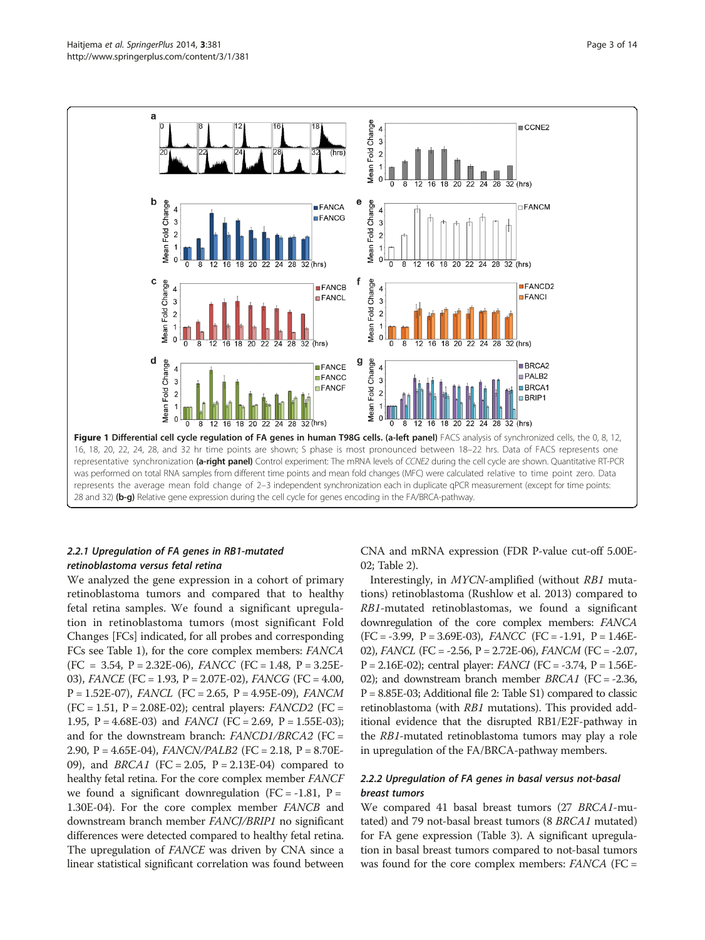<span id="page-2-0"></span>

# 2.2.1 Upregulation of FA genes in RB1-mutated retinoblastoma versus fetal retina

We analyzed the gene expression in a cohort of primary retinoblastoma tumors and compared that to healthy fetal retina samples. We found a significant upregulation in retinoblastoma tumors (most significant Fold Changes [FCs] indicated, for all probes and corresponding FCs see Table [1\)](#page-3-0), for the core complex members: FANCA  $(FC = 3.54, P = 2.32E-06), FANCC (FC = 1.48, P = 3.25E-06)$ 03), FANCE (FC = 1.93, P = 2.07E-02), FANCG (FC = 4.00,  $P = 1.52E-07$ , FANCL (FC = 2.65, P = 4.95E-09), FANCM  $(FC = 1.51, P = 2.08E-02)$ ; central players: *FANCD2* (FC = 1.95, P = 4.68E-03) and *FANCI* (FC = 2.69, P = 1.55E-03); and for the downstream branch:  $FANCD1/BRCA2$  (FC = 2.90, P = 4.65E-04), FANCN/PALB2 (FC = 2.18, P = 8.70E-09), and *BRCA1* (FC = 2.05, P = 2.13E-04) compared to healthy fetal retina. For the core complex member FANCF we found a significant downregulation (FC = -1.81, P = 1.30E-04). For the core complex member FANCB and downstream branch member FANCJ/BRIP1 no significant differences were detected compared to healthy fetal retina. The upregulation of *FANCE* was driven by CNA since a linear statistical significant correlation was found between

CNA and mRNA expression (FDR P-value cut-off 5.00E-02; Table [2](#page-3-0)).

Interestingly, in MYCN-amplified (without RB1 mutations) retinoblastoma (Rushlow et al. [2013\)](#page-12-0) compared to RB1-mutated retinoblastomas, we found a significant downregulation of the core complex members: FANCA  $(FC = -3.99, P = 3.69E-03), FANCC (FC = -1.91, P = 1.46E-$ 02), FANCL (FC = -2.56, P = 2.72E-06), FANCM (FC = -2.07,  $P = 2.16E-02$ ); central player: *FANCI* (FC = -3.74,  $P = 1.56E-0.16E-0.16E$ 02); and downstream branch member  $BRCA1$  (FC = -2.36, P = 8.85E-03; Additional file [2:](#page-10-0) Table S1) compared to classic retinoblastoma (with RB1 mutations). This provided additional evidence that the disrupted RB1/E2F-pathway in the RB1-mutated retinoblastoma tumors may play a role in upregulation of the FA/BRCA-pathway members.

# 2.2.2 Upregulation of FA genes in basal versus not-basal breast tumors

We compared 41 basal breast tumors (27 BRCA1-mutated) and 79 not-basal breast tumors (8 BRCA1 mutated) for FA gene expression (Table [3](#page-3-0)). A significant upregulation in basal breast tumors compared to not-basal tumors was found for the core complex members: FANCA (FC =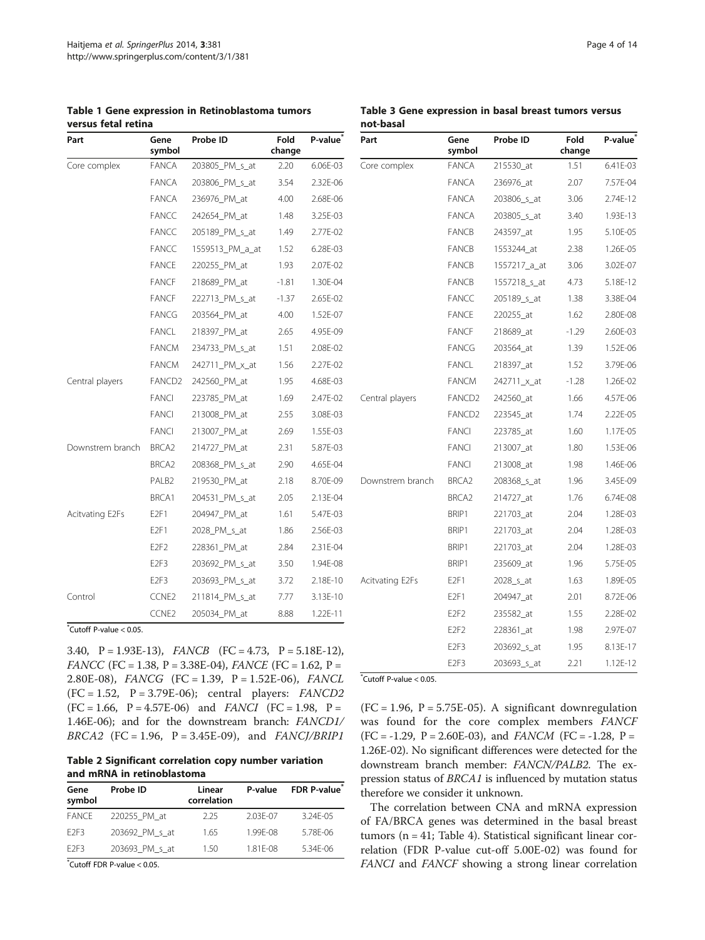| Part             | Gene<br>symbol              | Probe ID        | Fold<br>change | P-value <sup>*</sup> |
|------------------|-----------------------------|-----------------|----------------|----------------------|
| Core complex     | <b>FANCA</b>                | 203805_PM_s_at  | 2.20           | 6.06E-03             |
|                  | <b>FANCA</b>                | 203806_PM_s_at  | 3.54           | 2.32E-06             |
|                  | <b>FANCA</b>                | 236976_PM_at    | 4.00           | 2.68E-06             |
|                  | <b>FANCC</b>                | 242654_PM_at    | 1.48           | 3.25E-03             |
|                  | <b>FANCC</b>                | 205189_PM_s_at  | 1.49           | 2.77E-02             |
|                  | <b>FANCC</b>                | 1559513 PM a at | 1.52           | 6.28E-03             |
|                  | <b>FANCE</b>                | 220255_PM_at    | 1.93           | 2.07E-02             |
|                  | <b>FANCF</b>                | 218689_PM_at    | $-1.81$        | 1.30E-04             |
|                  | <b>FANCF</b>                | 222713_PM_s_at  | $-1.37$        | 2.65E-02             |
|                  | <b>FANCG</b>                | 203564 PM at    | 4.00           | 1.52E-07             |
|                  | <b>FANCL</b>                | 218397_PM_at    | 2.65           | 4.95E-09             |
|                  | <b>FANCM</b>                | 234733_PM_s_at  | 1.51           | 2.08E-02             |
|                  | <b>FANCM</b>                | 242711_PM_x_at  | 1.56           | 2.27E-02             |
| Central players  | FANCD <sub>2</sub>          | 242560_PM_at    | 1.95           | 4.68E-03             |
|                  | <b>FANCI</b>                | 223785_PM_at    | 1.69           | 2.47E-02             |
|                  | <b>FANCI</b>                | 213008_PM_at    | 2.55           | 3.08E-03             |
|                  | <b>FANCI</b>                | 213007_PM_at    | 2.69           | 1.55E-03             |
| Downstrem branch | BRCA <sub>2</sub>           | 214727 PM at    | 2.31           | 5.87E-03             |
|                  | BRCA <sub>2</sub>           | 208368_PM_s_at  | 2.90           | 4.65E-04             |
|                  | PALB <sub>2</sub>           | 219530_PM_at    | 2.18           | 8.70E-09             |
|                  | BRCA1                       | 204531_PM_s_at  | 2.05           | 2.13E-04             |
| Acitvating E2Fs  | E2F1                        | 204947 PM at    | 1.61           | 5.47E-03             |
|                  | E2F1                        | 2028_PM_s_at    | 1.86           | 2.56E-03             |
|                  | E <sub>2F<sub>2</sub></sub> | 228361_PM_at    | 2.84           | 2.31E-04             |
|                  | E <sub>2F3</sub>            | 203692_PM_s_at  | 3.50           | 1.94E-08             |
|                  | E <sub>2F3</sub>            | 203693_PM_s_at  | 3.72           | 2.18E-10             |
| Control          | CCNE2                       | 211814_PM_s_at  | 7.77           | 3.13E-10             |
|                  | CCNE2                       | 205034_PM_at    | 8.88           | 1.22E-11             |

<span id="page-3-0"></span>Table 1 Gene expression in Retinoblastoma tumors versus fetal retina

\* Cutoff P-value < 0.05.

3.40, P = 1.93E-13), FANCB (FC = 4.73, P = 5.18E-12),  $FANCC$  (FC = 1.38, P = 3.38E-04),  $FANCE$  (FC = 1.62, P = 2.80E-08), FANCG (FC = 1.39, P = 1.52E-06), FANCL (FC = 1.52, P = 3.79E-06); central players: FANCD2  $(FC = 1.66, P = 4.57E-06)$  and  $FANCI$   $(FC = 1.98, P =$ 1.46E-06); and for the downstream branch: FANCD1/  $BRCA2$  (FC = 1.96, P = 3.45E-09), and  $FANC/JBRIP1$ 

Table 2 Significant correlation copy number variation and mRNA in retinoblastoma

| Gene<br>symbol   | Probe ID       | Linear<br>correlation | P-value  | FDR P-value  |
|------------------|----------------|-----------------------|----------|--------------|
| <b>FANCE</b>     | 220255 PM at   | 225                   | 2.03F-07 | $3.24F - 05$ |
| F <sub>2F3</sub> | 203692 PM s at | 1.65                  | 1.99F-08 | 5.78F-06     |
| F <sub>2F3</sub> | 203693 PM s at | 150                   | 1.81F-08 | $5.34F - 06$ |

\* Cutoff FDR P-value < 0.05.

Table 3 Gene expression in basal breast tumors versus not-basal

| Part             | Gene<br>symbol              | Probe ID     | Fold<br>change | P-value <sup>®</sup> |
|------------------|-----------------------------|--------------|----------------|----------------------|
| Core complex     | <b>FANCA</b>                | 215530_at    | 1.51           | 6.41E-03             |
|                  | <b>FANCA</b>                | 236976_at    | 2.07           | 7.57E-04             |
|                  | <b>FANCA</b>                | 203806_s_at  | 3.06           | 2.74E-12             |
|                  | <b>FANCA</b>                | 203805_s_at  | 3.40           | 1.93E-13             |
|                  | <b>FANCB</b>                | 243597_at    | 1.95           | 5.10E-05             |
|                  | <b>FANCB</b>                | 1553244 at   | 2.38           | 1.26E-05             |
|                  | <b>FANCB</b>                | 1557217_a_at | 3.06           | 3.02E-07             |
|                  | <b>FANCB</b>                | 1557218_s_at | 4.73           | 5.18E-12             |
|                  | <b>FANCC</b>                | 205189_s_at  | 1.38           | 3.38E-04             |
|                  | <b>FANCE</b>                | 220255_at    | 1.62           | 2.80E-08             |
|                  | <b>FANCF</b>                | 218689 at    | $-1.29$        | 2.60E-03             |
|                  | <b>FANCG</b>                | 203564_at    | 1.39           | 1.52E-06             |
|                  | <b>FANCL</b>                | 218397_at    | 1.52           | 3.79E-06             |
|                  | <b>FANCM</b>                | 242711_x_at  | $-1.28$        | 1.26E-02             |
| Central players  | FANCD <sub>2</sub>          | 242560 at    | 1.66           | 4.57E-06             |
|                  | FANCD <sub>2</sub>          | 223545 at    | 1.74           | 2.22E-05             |
|                  | <b>FANCI</b>                | 223785_at    | 1.60           | 1.17E-05             |
|                  | <b>FANCI</b>                | 213007 at    | 1.80           | 1.53E-06             |
|                  | <b>FANCI</b>                | 213008_at    | 1.98           | 1.46E-06             |
| Downstrem branch | BRCA <sub>2</sub>           | 208368_s_at  | 1.96           | 3.45E-09             |
|                  | BRCA <sub>2</sub>           | 214727 at    | 1.76           | 6.74E-08             |
|                  | BRIP1                       | 221703_at    | 2.04           | 1.28E-03             |
|                  | BRIP1                       | 221703_at    | 2.04           | 1.28E-03             |
|                  | BRIP1                       | 221703_at    | 2.04           | 1.28E-03             |
|                  | BRIP1                       | 235609_at    | 1.96           | 5.75E-05             |
| Acitvating E2Fs  | E2F1                        | 2028_s_at    | 1.63           | 1.89E-05             |
|                  | E2F1                        | 204947_at    | 2.01           | 8.72E-06             |
|                  | E <sub>2F<sub>2</sub></sub> | 235582_at    | 1.55           | 2.28E-02             |
|                  | E <sub>2F<sub>2</sub></sub> | 228361_at    | 1.98           | 2.97E-07             |
|                  | E <sub>2F3</sub>            | 203692_s_at  | 1.95           | 8.13E-17             |
|                  | E <sub>2F3</sub>            | 203693_s_at  | 2.21           | 1.12E-12             |

\* Cutoff P-value < 0.05.

 $(FC = 1.96, P = 5.75E-05)$ . A significant downregulation was found for the core complex members FANCF  $(FC = -1.29, P = 2.60E-03)$ , and  $FANCM$   $(FC = -1.28, P =$ 1.26E-02). No significant differences were detected for the downstream branch member: FANCN/PALB2. The expression status of BRCA1 is influenced by mutation status therefore we consider it unknown.

The correlation between CNA and mRNA expression of FA/BRCA genes was determined in the basal breast tumors (n = 41; Table [4](#page-4-0)). Statistical significant linear correlation (FDR P-value cut-off 5.00E-02) was found for FANCI and FANCF showing a strong linear correlation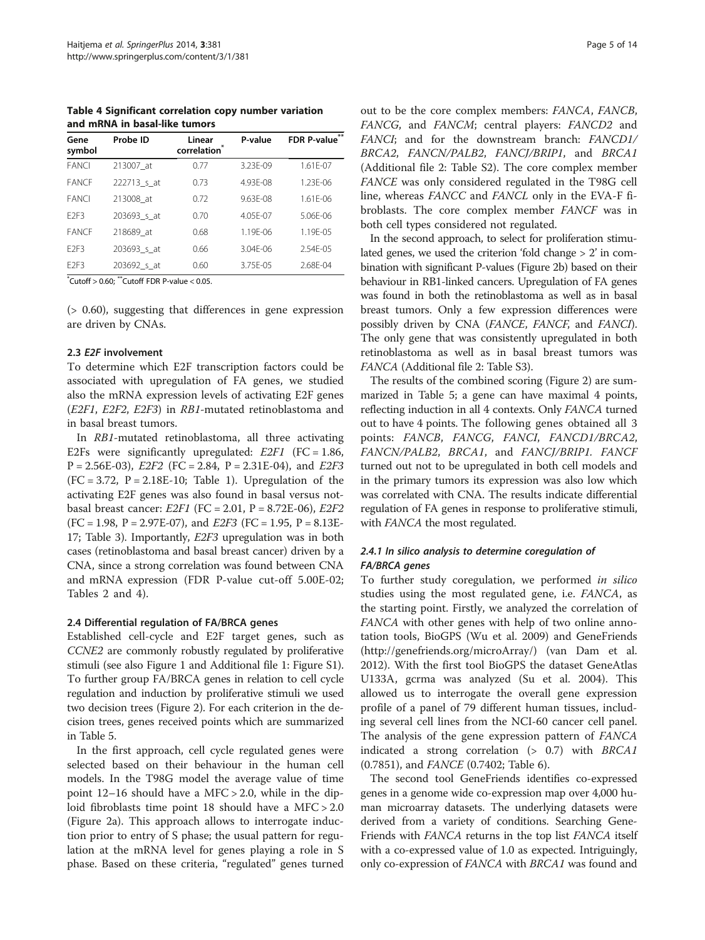<span id="page-4-0"></span>Table 4 Significant correlation copy number variation and mRNA in basal-like tumors

| Gene<br>symbol   | Probe ID    | Linear<br>correlation | P-value      | FDR P-value** |
|------------------|-------------|-----------------------|--------------|---------------|
| <b>FANCI</b>     | 213007 at   | 0.77                  | 3.23F-09     | $1.61F - 07$  |
| <b>FANCE</b>     | 222713 s at | 0.73                  | 4.93F-08     | 1.23F-06      |
| <b>FANCI</b>     | 213008 at   | 0.72                  | $9.63F - 08$ | $1.61F - 06$  |
| F <sub>2F3</sub> | 203693 s at | 0.70                  | 4.05F-07     | $5.06F - 06$  |
| <b>FANCE</b>     | 218689 at   | 0.68                  | 1.19F-06     | $1.19F - 0.5$ |
| F <sub>2F3</sub> | 203693 s at | 0.66                  | $3.04F - 06$ | $2.54F - 0.5$ |
| F <sub>2F3</sub> | 203692_s_at | 0.60                  | 3.75E-05     | 2.68F-04      |

 $*$ Cutoff > 0.60;  $*$ <sup>\*</sup>Cutoff FDR P-value < 0.05.

(> 0.60), suggesting that differences in gene expression are driven by CNAs.

#### 2.3 E2F involvement

To determine which E2F transcription factors could be associated with upregulation of FA genes, we studied also the mRNA expression levels of activating E2F genes (E2F1, E2F2, E2F3) in RB1-mutated retinoblastoma and in basal breast tumors.

In RB1-mutated retinoblastoma, all three activating E2Fs were significantly upregulated: E2F1 (FC = 1.86,  $P = 2.56E-03$ ,  $E2F2$  (FC = 2.84,  $P = 2.31E-04$ ), and  $E2F3$  $(FC = 3.72, P = 2.18E-10; Table 1).$  $(FC = 3.72, P = 2.18E-10; Table 1).$  $(FC = 3.72, P = 2.18E-10; Table 1).$  Upregulation of the activating E2F genes was also found in basal versus notbasal breast cancer:  $E2F1$  (FC = 2.01, P = 8.72E-06),  $E2F2$  $(FC = 1.98, P = 2.97E-07)$ , and  $E2F3$   $(FC = 1.95, P = 8.13E-07)$ 17; Table [3](#page-3-0)). Importantly, E2F3 upregulation was in both cases (retinoblastoma and basal breast cancer) driven by a CNA, since a strong correlation was found between CNA and mRNA expression (FDR P-value cut-off 5.00E-02; Tables [2](#page-3-0) and 4).

#### 2.4 Differential regulation of FA/BRCA genes

Established cell-cycle and E2F target genes, such as CCNE2 are commonly robustly regulated by proliferative stimuli (see also Figure [1](#page-2-0) and Additional file [1](#page-10-0): Figure S1). To further group FA/BRCA genes in relation to cell cycle regulation and induction by proliferative stimuli we used two decision trees (Figure [2](#page-5-0)). For each criterion in the decision trees, genes received points which are summarized in Table [5](#page-6-0).

In the first approach, cell cycle regulated genes were selected based on their behaviour in the human cell models. In the T98G model the average value of time point 12–16 should have a MFC > 2.0, while in the diploid fibroblasts time point 18 should have a MFC > 2.0 (Figure [2a](#page-5-0)). This approach allows to interrogate induction prior to entry of S phase; the usual pattern for regulation at the mRNA level for genes playing a role in S phase. Based on these criteria, "regulated" genes turned

out to be the core complex members: FANCA, FANCB, FANCG, and FANCM; central players: FANCD2 and FANCI; and for the downstream branch: FANCD1/ BRCA2, FANCN/PALB2, FANCJ/BRIP1, and BRCA1 (Additional file [2](#page-10-0): Table S2). The core complex member FANCE was only considered regulated in the T98G cell line, whereas FANCC and FANCL only in the EVA-F fibroblasts. The core complex member FANCF was in both cell types considered not regulated.

In the second approach, to select for proliferation stimulated genes, we used the criterion 'fold change > 2' in combination with significant P-values (Figure [2](#page-5-0)b) based on their behaviour in RB1-linked cancers. Upregulation of FA genes was found in both the retinoblastoma as well as in basal breast tumors. Only a few expression differences were possibly driven by CNA (FANCE, FANCF, and FANCI). The only gene that was consistently upregulated in both retinoblastoma as well as in basal breast tumors was FANCA (Additional file [2:](#page-10-0) Table S3).

The results of the combined scoring (Figure [2](#page-5-0)) are summarized in Table [5](#page-6-0); a gene can have maximal 4 points, reflecting induction in all 4 contexts. Only FANCA turned out to have 4 points. The following genes obtained all 3 points: FANCB, FANCG, FANCI, FANCD1/BRCA2, FANCN/PALB2, BRCA1, and FANCJ/BRIP1. FANCF turned out not to be upregulated in both cell models and in the primary tumors its expression was also low which was correlated with CNA. The results indicate differential regulation of FA genes in response to proliferative stimuli, with FANCA the most regulated.

## 2.4.1 In silico analysis to determine coregulation of FA/BRCA genes

To further study coregulation, we performed in silico studies using the most regulated gene, i.e. FANCA, as the starting point. Firstly, we analyzed the correlation of FANCA with other genes with help of two online annotation tools, BioGPS (Wu et al. [2009\)](#page-13-0) and GeneFriends ([http://genefriends.org/microArray/\)](http://genefriends.org/microArray/) (van Dam et al. [2012](#page-12-0)). With the first tool BioGPS the dataset GeneAtlas U133A, gcrma was analyzed (Su et al. [2004](#page-12-0)). This allowed us to interrogate the overall gene expression profile of a panel of 79 different human tissues, including several cell lines from the NCI-60 cancer cell panel. The analysis of the gene expression pattern of FANCA indicated a strong correlation  $(> 0.7)$  with BRCA1 (0.7851), and FANCE (0.7402; Table [6](#page-7-0)).

The second tool GeneFriends identifies co-expressed genes in a genome wide co-expression map over 4,000 human microarray datasets. The underlying datasets were derived from a variety of conditions. Searching Gene-Friends with FANCA returns in the top list FANCA itself with a co-expressed value of 1.0 as expected. Intriguingly, only co-expression of FANCA with BRCA1 was found and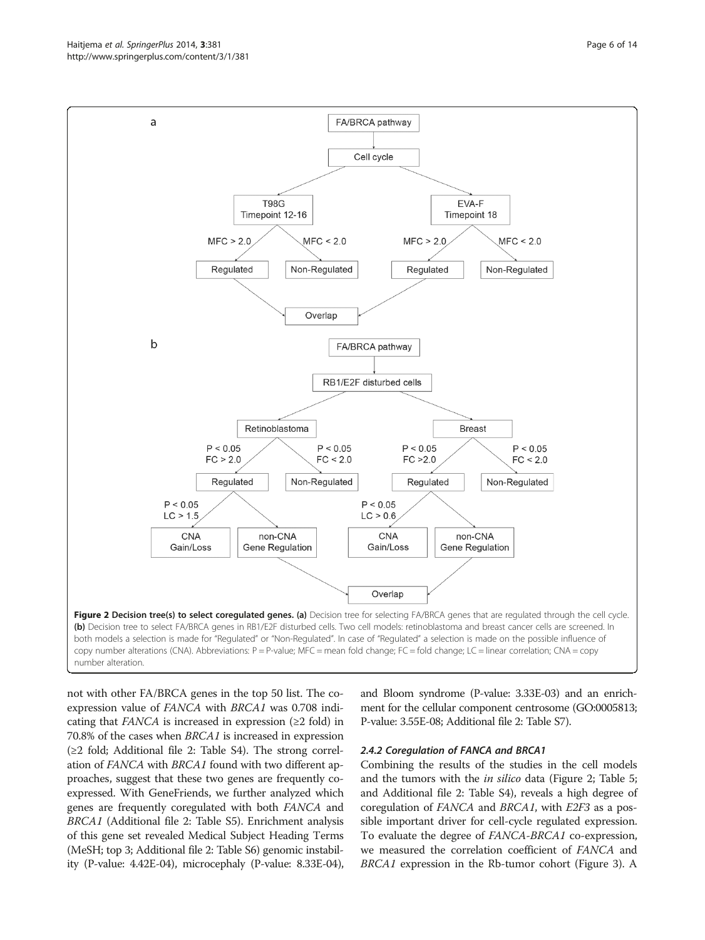not with other FA/BRCA genes in the top 50 list. The coexpression value of FANCA with BRCA1 was 0.708 indicating that  $FANCA$  is increased in expression ( $\geq 2$  fold) in 70.8% of the cases when BRCA1 is increased in expression (≥2 fold; Additional file [2](#page-10-0): Table S4). The strong correlation of FANCA with BRCA1 found with two different approaches, suggest that these two genes are frequently coexpressed. With GeneFriends, we further analyzed which genes are frequently coregulated with both FANCA and BRCA1 (Additional file [2:](#page-10-0) Table S5). Enrichment analysis of this gene set revealed Medical Subject Heading Terms (MeSH; top 3; Additional file [2](#page-10-0): Table S6) genomic instability (P-value: 4.42E-04), microcephaly (P-value: 8.33E-04),

and Bloom syndrome (P-value: 3.33E-03) and an enrichment for the cellular component centrosome (GO:0005813; P-value: 3.55E-08; Additional file [2:](#page-10-0) Table S7).

## 2.4.2 Coregulation of FANCA and BRCA1

Combining the results of the studies in the cell models and the tumors with the *in silico* data (Figure 2; Table [5](#page-6-0); and Additional file [2](#page-10-0): Table S4), reveals a high degree of coregulation of FANCA and BRCA1, with E2F3 as a possible important driver for cell-cycle regulated expression. To evaluate the degree of FANCA-BRCA1 co-expression, we measured the correlation coefficient of FANCA and BRCA1 expression in the Rb-tumor cohort (Figure [3\)](#page-8-0). A

<span id="page-5-0"></span>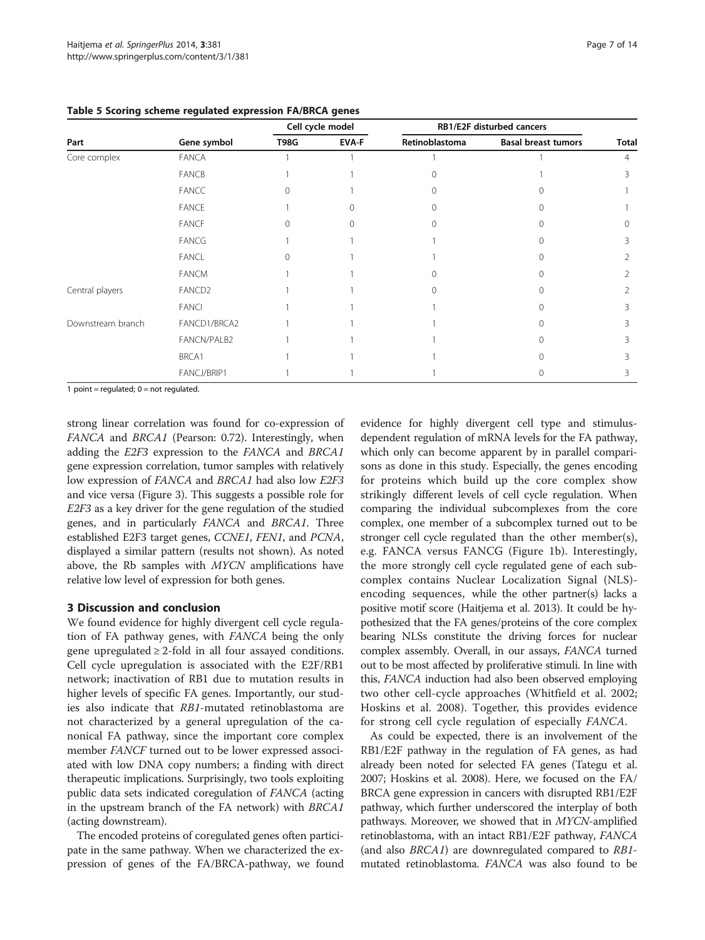|                   |                    | Cell cycle model |              | RB1/E2F disturbed cancers |                            |              |
|-------------------|--------------------|------------------|--------------|---------------------------|----------------------------|--------------|
| Part              | Gene symbol        | <b>T98G</b>      | <b>EVA-F</b> | Retinoblastoma            | <b>Basal breast tumors</b> | <b>Total</b> |
| Core complex      | FANCA              |                  |              |                           |                            | 4            |
|                   | <b>FANCB</b>       |                  |              |                           |                            |              |
|                   | FANCC              |                  |              |                           |                            |              |
|                   | <b>FANCE</b>       |                  | Ω            |                           |                            |              |
|                   | <b>FANCF</b>       |                  | $\Omega$     |                           |                            | $\Omega$     |
|                   | FANCG              |                  |              |                           |                            |              |
|                   | <b>FANCL</b>       |                  |              |                           |                            |              |
|                   | <b>FANCM</b>       |                  |              |                           |                            |              |
| Central players   | FANCD <sub>2</sub> |                  |              |                           |                            |              |
|                   | <b>FANCI</b>       |                  |              |                           |                            |              |
| Downstream branch | FANCD1/BRCA2       |                  |              |                           |                            |              |
|                   | FANCN/PALB2        |                  |              |                           |                            |              |
|                   | BRCA1              |                  |              |                           |                            |              |
|                   | FANCJ/BRIP1        |                  |              |                           |                            |              |

<span id="page-6-0"></span>Table 5 Scoring scheme regulated expression FA/BRCA genes

1 point = regulated;  $0 = not required$ .

strong linear correlation was found for co-expression of FANCA and BRCA1 (Pearson: 0.72). Interestingly, when adding the E2F3 expression to the FANCA and BRCA1 gene expression correlation, tumor samples with relatively low expression of FANCA and BRCA1 had also low E2F3 and vice versa (Figure [3](#page-8-0)). This suggests a possible role for E2F3 as a key driver for the gene regulation of the studied genes, and in particularly FANCA and BRCA1. Three established E2F3 target genes, CCNE1, FEN1, and PCNA, displayed a similar pattern (results not shown). As noted above, the Rb samples with MYCN amplifications have relative low level of expression for both genes.

## 3 Discussion and conclusion

We found evidence for highly divergent cell cycle regulation of FA pathway genes, with FANCA being the only gene upregulated  $\geq 2$ -fold in all four assayed conditions. Cell cycle upregulation is associated with the E2F/RB1 network; inactivation of RB1 due to mutation results in higher levels of specific FA genes. Importantly, our studies also indicate that RB1-mutated retinoblastoma are not characterized by a general upregulation of the canonical FA pathway, since the important core complex member FANCF turned out to be lower expressed associated with low DNA copy numbers; a finding with direct therapeutic implications. Surprisingly, two tools exploiting public data sets indicated coregulation of FANCA (acting in the upstream branch of the FA network) with BRCA1 (acting downstream).

The encoded proteins of coregulated genes often participate in the same pathway. When we characterized the expression of genes of the FA/BRCA-pathway, we found

evidence for highly divergent cell type and stimulusdependent regulation of mRNA levels for the FA pathway, which only can become apparent by in parallel comparisons as done in this study. Especially, the genes encoding for proteins which build up the core complex show strikingly different levels of cell cycle regulation. When comparing the individual subcomplexes from the core complex, one member of a subcomplex turned out to be stronger cell cycle regulated than the other member(s), e.g. FANCA versus FANCG (Figure [1b](#page-2-0)). Interestingly, the more strongly cell cycle regulated gene of each subcomplex contains Nuclear Localization Signal (NLS) encoding sequences, while the other partner(s) lacks a positive motif score (Haitjema et al. [2013](#page-11-0)). It could be hypothesized that the FA genes/proteins of the core complex bearing NLSs constitute the driving forces for nuclear complex assembly. Overall, in our assays, FANCA turned out to be most affected by proliferative stimuli. In line with this, FANCA induction had also been observed employing two other cell-cycle approaches (Whitfield et al. [2002](#page-12-0); Hoskins et al. [2008](#page-11-0)). Together, this provides evidence for strong cell cycle regulation of especially FANCA.

As could be expected, there is an involvement of the RB1/E2F pathway in the regulation of FA genes, as had already been noted for selected FA genes (Tategu et al. [2007](#page-12-0); Hoskins et al. [2008](#page-11-0)). Here, we focused on the FA/ BRCA gene expression in cancers with disrupted RB1/E2F pathway, which further underscored the interplay of both pathways. Moreover, we showed that in MYCN-amplified retinoblastoma, with an intact RB1/E2F pathway, FANCA (and also BRCA1) are downregulated compared to RB1 mutated retinoblastoma. FANCA was also found to be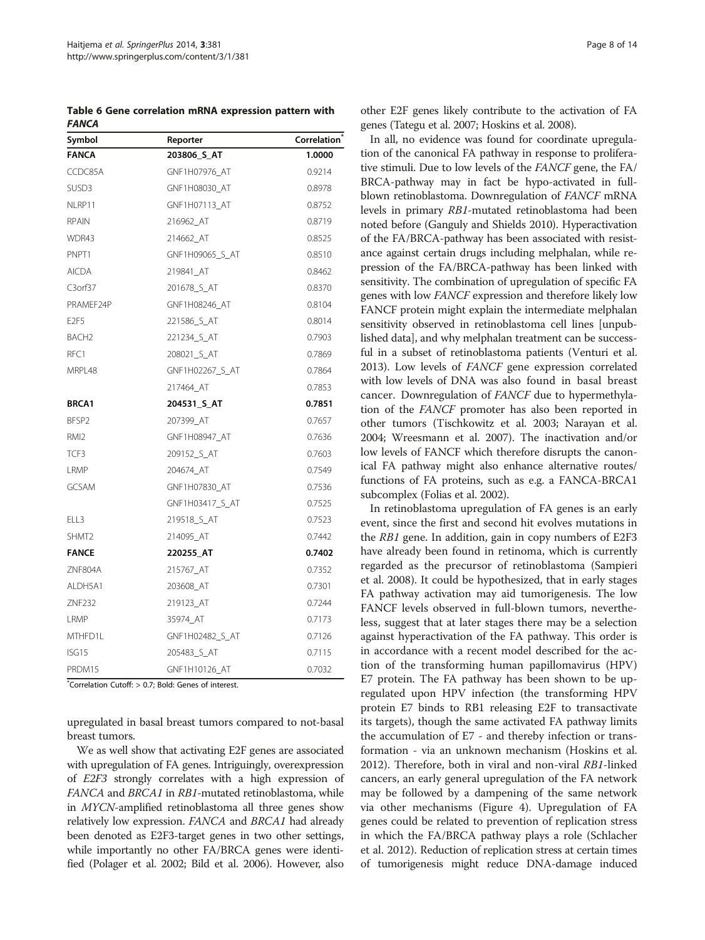<span id="page-7-0"></span>Table 6 Gene correlation mRNA expression pattern with **FANCA** 

| Symbol            | Reporter        | Correlation <sup>®</sup> |
|-------------------|-----------------|--------------------------|
| <b>FANCA</b>      | 203806_S_AT     | 1.0000                   |
| CCDC85A           | GNF1H07976 AT   | 0.9214                   |
| SUSD3             | GNF1H08030 AT   | 0.8978                   |
| NLRP11            | GNF1H07113_AT   | 0.8752                   |
| <b>RPAIN</b>      | 216962_AT       | 0.8719                   |
| WDR43             | 214662 AT       | 0.8525                   |
| PNPT1             | GNF1H09065 S AT | 0.8510                   |
| <b>AICDA</b>      | 219841 AT       | 0.8462                   |
| $C3$ orf $37$     | 201678 S AT     | 0.8370                   |
| PRAMEF24P         | GNF1H08246 AT   | 0.8104                   |
| E <sub>2F5</sub>  | 221586 S AT     | 0.8014                   |
| BACH <sub>2</sub> | 221234_S_AT     | 0.7903                   |
| RFC1              | 208021_S_AT     | 0.7869                   |
| MRPI 48           | GNF1H02267_S_AT | 0.7864                   |
|                   | 217464_AT       | 0.7853                   |
| <b>BRCA1</b>      | 204531_S_AT     | 0.7851                   |
| BFSP <sub>2</sub> | 207399_AT       | 0.7657                   |
| RMI <sub>2</sub>  | GNF1H08947_AT   | 0.7636                   |
| TCF3              | 209152_S_AT     | 0.7603                   |
| LRMP              | 204674_AT       | 0.7549                   |
| <b>GCSAM</b>      | GNF1H07830_AT   | 0.7536                   |
|                   | GNF1H03417_S_AT | 0.7525                   |
| ELL3              | 219518_S_AT     | 0.7523                   |
| SHMT2             | 214095_AT       | 0.7442                   |
| <b>FANCE</b>      | 220255_AT       | 0.7402                   |
| ZNF804A           | 215767_AT       | 0.7352                   |
| ALDH5A1           | 203608_AT       | 0.7301                   |
| <b>ZNF232</b>     | 219123_AT       | 0.7244                   |
| LRMP              | 35974_AT        | 0.7173                   |
| MTHFD1L           | GNF1H02482_S_AT | 0.7126                   |
| ISG15             | 205483_S_AT     | 0.7115                   |
| PRDM15            | GNF1H10126_AT   | 0.7032                   |

\* Correlation Cutoff: > 0.7; Bold: Genes of interest.

upregulated in basal breast tumors compared to not-basal breast tumors.

We as well show that activating E2F genes are associated with upregulation of FA genes. Intriguingly, overexpression of E2F3 strongly correlates with a high expression of FANCA and BRCA1 in RB1-mutated retinoblastoma, while in MYCN-amplified retinoblastoma all three genes show relatively low expression. FANCA and BRCA1 had already been denoted as E2F3-target genes in two other settings, while importantly no other FA/BRCA genes were identified (Polager et al. [2002](#page-12-0); Bild et al. [2006\)](#page-11-0). However, also other E2F genes likely contribute to the activation of FA genes (Tategu et al. [2007](#page-12-0); Hoskins et al. [2008](#page-11-0)).

In all, no evidence was found for coordinate upregulation of the canonical FA pathway in response to proliferative stimuli. Due to low levels of the FANCF gene, the FA/ BRCA-pathway may in fact be hypo-activated in fullblown retinoblastoma. Downregulation of *FANCF* mRNA levels in primary RB1-mutated retinoblastoma had been noted before (Ganguly and Shields [2010\)](#page-11-0). Hyperactivation of the FA/BRCA-pathway has been associated with resistance against certain drugs including melphalan, while repression of the FA/BRCA-pathway has been linked with sensitivity. The combination of upregulation of specific FA genes with low FANCF expression and therefore likely low FANCF protein might explain the intermediate melphalan sensitivity observed in retinoblastoma cell lines [unpublished data], and why melphalan treatment can be successful in a subset of retinoblastoma patients (Venturi et al. [2013\)](#page-12-0). Low levels of FANCF gene expression correlated with low levels of DNA was also found in basal breast cancer. Downregulation of FANCF due to hypermethylation of the FANCF promoter has also been reported in other tumors (Tischkowitz et al. [2003;](#page-12-0) Narayan et al. [2004;](#page-12-0) Wreesmann et al. [2007\)](#page-12-0). The inactivation and/or low levels of FANCF which therefore disrupts the canonical FA pathway might also enhance alternative routes/ functions of FA proteins, such as e.g. a FANCA-BRCA1 subcomplex (Folias et al. [2002](#page-11-0)).

In retinoblastoma upregulation of FA genes is an early event, since the first and second hit evolves mutations in the RB1 gene. In addition, gain in copy numbers of E2F3 have already been found in retinoma, which is currently regarded as the precursor of retinoblastoma (Sampieri et al. [2008](#page-12-0)). It could be hypothesized, that in early stages FA pathway activation may aid tumorigenesis. The low FANCF levels observed in full-blown tumors, nevertheless, suggest that at later stages there may be a selection against hyperactivation of the FA pathway. This order is in accordance with a recent model described for the action of the transforming human papillomavirus (HPV) E7 protein. The FA pathway has been shown to be upregulated upon HPV infection (the transforming HPV protein E7 binds to RB1 releasing E2F to transactivate its targets), though the same activated FA pathway limits the accumulation of E7 - and thereby infection or transformation - via an unknown mechanism (Hoskins et al. [2012](#page-11-0)). Therefore, both in viral and non-viral RB1-linked cancers, an early general upregulation of the FA network may be followed by a dampening of the same network via other mechanisms (Figure [4\)](#page-8-0). Upregulation of FA genes could be related to prevention of replication stress in which the FA/BRCA pathway plays a role (Schlacher et al. [2012\)](#page-12-0). Reduction of replication stress at certain times of tumorigenesis might reduce DNA-damage induced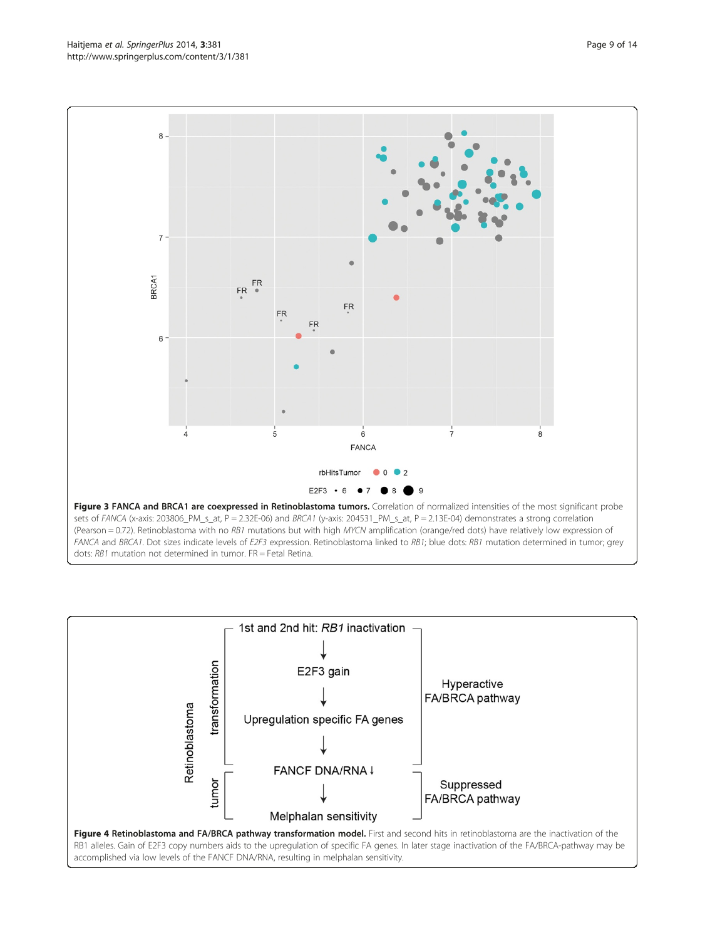<span id="page-8-0"></span>



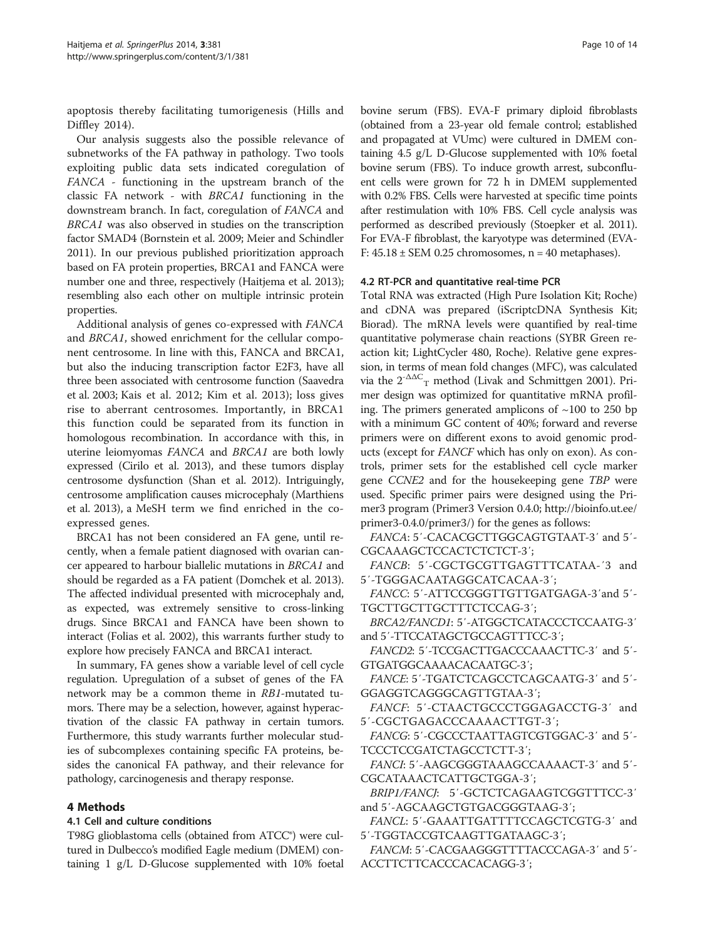apoptosis thereby facilitating tumorigenesis (Hills and Diffley [2014](#page-11-0)).

Our analysis suggests also the possible relevance of subnetworks of the FA pathway in pathology. Two tools exploiting public data sets indicated coregulation of FANCA - functioning in the upstream branch of the classic FA network - with BRCA1 functioning in the downstream branch. In fact, coregulation of FANCA and BRCA1 was also observed in studies on the transcription factor SMAD4 (Bornstein et al. [2009;](#page-11-0) Meier and Schindler [2011\)](#page-12-0). In our previous published prioritization approach based on FA protein properties, BRCA1 and FANCA were number one and three, respectively (Haitjema et al. [2013](#page-11-0)); resembling also each other on multiple intrinsic protein properties.

Additional analysis of genes co-expressed with FANCA and BRCA1, showed enrichment for the cellular component centrosome. In line with this, FANCA and BRCA1, but also the inducing transcription factor E2F3, have all three been associated with centrosome function (Saavedra et al. [2003](#page-12-0); Kais et al. [2012;](#page-11-0) Kim et al. [2013](#page-11-0)); loss gives rise to aberrant centrosomes. Importantly, in BRCA1 this function could be separated from its function in homologous recombination. In accordance with this, in uterine leiomyomas FANCA and BRCA1 are both lowly expressed (Cirilo et al. [2013](#page-11-0)), and these tumors display centrosome dysfunction (Shan et al. [2012\)](#page-12-0). Intriguingly, centrosome amplification causes microcephaly (Marthiens et al. [2013\)](#page-12-0), a MeSH term we find enriched in the coexpressed genes.

BRCA1 has not been considered an FA gene, until recently, when a female patient diagnosed with ovarian cancer appeared to harbour biallelic mutations in BRCA1 and should be regarded as a FA patient (Domchek et al. [2013](#page-11-0)). The affected individual presented with microcephaly and, as expected, was extremely sensitive to cross-linking drugs. Since BRCA1 and FANCA have been shown to interact (Folias et al. [2002](#page-11-0)), this warrants further study to explore how precisely FANCA and BRCA1 interact.

In summary, FA genes show a variable level of cell cycle regulation. Upregulation of a subset of genes of the FA network may be a common theme in RB1-mutated tumors. There may be a selection, however, against hyperactivation of the classic FA pathway in certain tumors. Furthermore, this study warrants further molecular studies of subcomplexes containing specific FA proteins, besides the canonical FA pathway, and their relevance for pathology, carcinogenesis and therapy response.

## 4 Methods

## 4.1 Cell and culture conditions

T98G glioblastoma cells (obtained from ATCC®) were cultured in Dulbecco's modified Eagle medium (DMEM) containing 1 g/L D-Glucose supplemented with 10% foetal

bovine serum (FBS). EVA-F primary diploid fibroblasts (obtained from a 23-year old female control; established and propagated at VUmc) were cultured in DMEM containing 4.5 g/L D-Glucose supplemented with 10% foetal bovine serum (FBS). To induce growth arrest, subconfluent cells were grown for 72 h in DMEM supplemented with 0.2% FBS. Cells were harvested at specific time points after restimulation with 10% FBS. Cell cycle analysis was performed as described previously (Stoepker et al. [2011](#page-12-0)). For EVA-F fibroblast, the karyotype was determined (EVA-F:  $45.18 \pm$  SEM 0.25 chromosomes, n = 40 metaphases).

## 4.2 RT-PCR and quantitative real-time PCR

Total RNA was extracted (High Pure Isolation Kit; Roche) and cDNA was prepared (iScriptcDNA Synthesis Kit; Biorad). The mRNA levels were quantified by real-time quantitative polymerase chain reactions (SYBR Green reaction kit; LightCycler 480, Roche). Relative gene expression, in terms of mean fold changes (MFC), was calculated via the  $2^{\triangle\Delta C}$ <sub>T</sub> method (Livak and Schmittgen [2001\)](#page-12-0). Primer design was optimized for quantitative mRNA profiling. The primers generated amplicons of  $\sim$ 100 to 250 bp with a minimum GC content of 40%; forward and reverse primers were on different exons to avoid genomic products (except for FANCF which has only on exon). As controls, primer sets for the established cell cycle marker gene CCNE2 and for the housekeeping gene TBP were used. Specific primer pairs were designed using the Primer3 program (Primer3 Version 0.4.0; [http://bioinfo.ut.ee/](http://bioinfo.ut.ee/primer3-0.4.0/primer3/) [primer3-0.4.0/primer3/\)](http://bioinfo.ut.ee/primer3-0.4.0/primer3/) for the genes as follows:

FANCA: 5′-CACACGCTTGGCAGTGTAAT-3′ and 5′- CGCAAAGCTCCACTCTCTCT-3';

FANCB: 5′-CGCTGCGTTGAGTTTCATAA-′3 and 5′-TGGGACAATAGGCATCACAA-3′;

FANCC: 5′-ATTCCGGGTTGTTGATGAGA-3′and 5′- TGCTTGCTTGCTTTCTCCAG-3′;

BRCA2/FANCD1: 5′-ATGGCTCATACCCTCCAATG-3′ and 5′-TTCCATAGCTGCCAGTTTCC-3′;

FANCD2: 5′-TCCGACTTGACCCAAACTTC-3′ and 5′- GTGATGGCAAAACACAATGC-3′;

FANCE: 5′-TGATCTCAGCCTCAGCAATG-3′ and 5′- GGAGGTCAGGGCAGTTGTAA-3′;

FANCF: 5′-CTAACTGCCCTGGAGACCTG-3′ and 5′-CGCTGAGACCCAAAACTTGT-3′;

FANCG: 5′-CGCCCTAATTAGTCGTGGAC-3′ and 5′- TCCCTCCGATCTAGCCTCTT-3′;

FANCI: 5′-AAGCGGGTAAAGCCAAAACT-3′ and 5′- CGCATAAACTCATTGCTGGA-3′;

BRIP1/FANCJ: 5′-GCTCTCAGAAGTCGGTTTCC-3′ and 5′-AGCAAGCTGTGACGGGTAAG-3′;

FANCL: 5′-GAAATTGATTTTCCAGCTCGTG-3′ and 5′-TGGTACCGTCAAGTTGATAAGC-3′;

FANCM: 5′-CACGAAGGGTTTTACCCAGA-3′ and 5′- ACCTTCTTCACCCACACAGG-3′;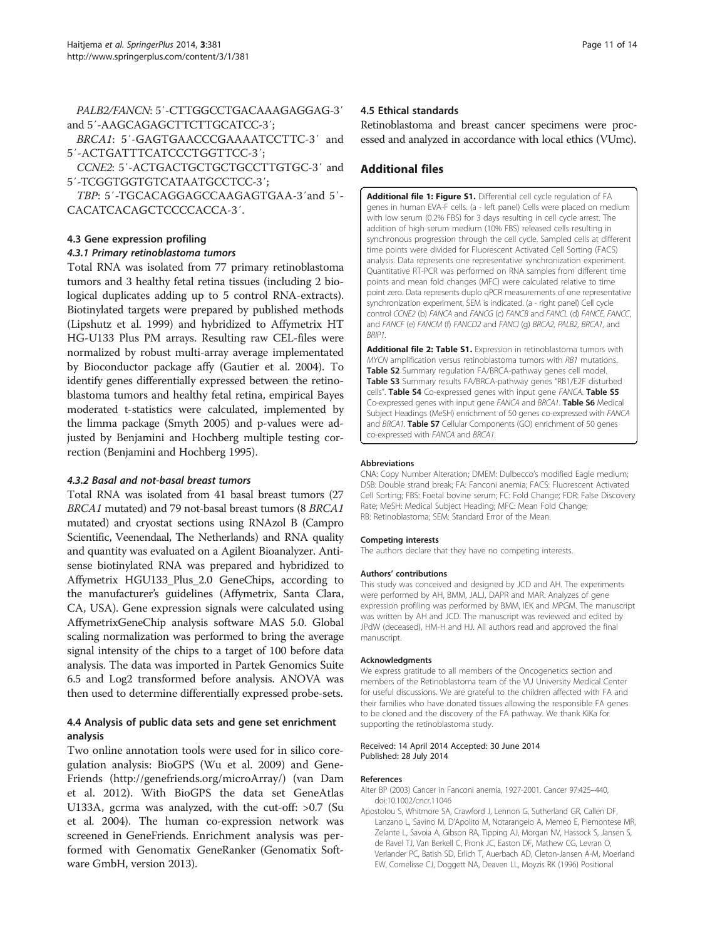<span id="page-10-0"></span>PALB2/FANCN: 5′-CTTGGCCTGACAAAGAGGAG-3′ and 5′-AAGCAGAGCTTCTTGCATCC-3′;

BRCA1: 5′-GAGTGAACCCGAAAATCCTTC-3′ and 5′-ACTGATTTCATCCCTGGTTCC-3′;

CCNE2: 5′-ACTGACTGCTGCTGCCTTGTGC-3′ and 5′-TCGGTGGTGTCATAATGCCTCC-3′;

TBP: 5′-TGCACAGGAGCCAAGAGTGAA-3′and 5′- CACATCACAGCTCCCCACCA-3′.

#### 4.3 Gene expression profiling

#### 4.3.1 Primary retinoblastoma tumors

Total RNA was isolated from 77 primary retinoblastoma tumors and 3 healthy fetal retina tissues (including 2 biological duplicates adding up to 5 control RNA-extracts). Biotinylated targets were prepared by published methods (Lipshutz et al. [1999](#page-11-0)) and hybridized to Affymetrix HT HG-U133 Plus PM arrays. Resulting raw CEL-files were normalized by robust multi-array average implementated by Bioconductor package affy (Gautier et al. [2004\)](#page-11-0). To identify genes differentially expressed between the retinoblastoma tumors and healthy fetal retina, empirical Bayes moderated t-statistics were calculated, implemented by the limma package (Smyth [2005](#page-12-0)) and p-values were adjusted by Benjamini and Hochberg multiple testing correction (Benjamini and Hochberg [1995\)](#page-11-0).

#### 4.3.2 Basal and not-basal breast tumors

Total RNA was isolated from 41 basal breast tumors (27 BRCA1 mutated) and 79 not-basal breast tumors (8 BRCA1 mutated) and cryostat sections using RNAzol B (Campro Scientific, Veenendaal, The Netherlands) and RNA quality and quantity was evaluated on a Agilent Bioanalyzer. Antisense biotinylated RNA was prepared and hybridized to Affymetrix HGU133\_Plus\_2.0 GeneChips, according to the manufacturer's guidelines (Affymetrix, Santa Clara, CA, USA). Gene expression signals were calculated using AffymetrixGeneChip analysis software MAS 5.0. Global scaling normalization was performed to bring the average signal intensity of the chips to a target of 100 before data analysis. The data was imported in Partek Genomics Suite 6.5 and Log2 transformed before analysis. ANOVA was then used to determine differentially expressed probe-sets.

## 4.4 Analysis of public data sets and gene set enrichment analysis

Two online annotation tools were used for in silico coregulation analysis: BioGPS (Wu et al. [2009\)](#page-13-0) and Gene-Friends ([http://genefriends.org/microArray/\)](http://genefriends.org/microArray/) (van Dam et al. [2012\)](#page-12-0). With BioGPS the data set GeneAtlas U133A, gcrma was analyzed, with the cut-off: >0.7 (Su et al. [2004](#page-12-0)). The human co-expression network was screened in GeneFriends. Enrichment analysis was performed with Genomatix GeneRanker (Genomatix Software GmbH, version 2013).

#### 4.5 Ethical standards

Retinoblastoma and breast cancer specimens were processed and analyzed in accordance with local ethics (VUmc).

## Additional files

[Additional file 1: Figure S1.](http://www.biomedcentral.com/content/supplementary/2193-1801-3-381-S1.tiff) Differential cell cycle regulation of FA genes in human EVA-F cells. (a - left panel) Cells were placed on medium with low serum (0.2% FBS) for 3 days resulting in cell cycle arrest. The addition of high serum medium (10% FBS) released cells resulting in synchronous progression through the cell cycle. Sampled cells at different time points were divided for Fluorescent Activated Cell Sorting (FACS) analysis. Data represents one representative synchronization experiment. Quantitative RT-PCR was performed on RNA samples from different time points and mean fold changes (MFC) were calculated relative to time point zero. Data represents duplo qPCR measurements of one representative synchronization experiment, SEM is indicated. (a - right panel) Cell cycle control CCNE2 (b) FANCA and FANCG (c) FANCB and FANCL (d) FANCE, FANCC, and FANCF (e) FANCM (f) FANCD2 and FANCI (g) BRCA2, PALB2, BRCA1, and BRIP1.

[Additional file 2: Table S1.](http://www.biomedcentral.com/content/supplementary/2193-1801-3-381-S2.doc) Expression in retinoblastoma tumors with MYCN amplification versus retinoblastoma tumors with RB1 mutations. Table S2 Summary regulation FA/BRCA-pathway genes cell model. Table S3 Summary results FA/BRCA-pathway genes "RB1/E2F disturbed cells". Table S4 Co-expressed genes with input gene FANCA. Table S5 Co-expressed genes with input gene FANCA and BRCA1. Table S6 Medical Subject Headings (MeSH) enrichment of 50 genes co-expressed with FANCA and BRCA1. Table S7 Cellular Components (GO) enrichment of 50 genes co-expressed with FANCA and BRCA1.

#### Abbreviations

CNA: Copy Number Alteration; DMEM: Dulbecco's modified Eagle medium; DSB: Double strand break; FA: Fanconi anemia; FACS: Fluorescent Activated Cell Sorting; FBS: Foetal bovine serum; FC: Fold Change; FDR: False Discovery Rate; MeSH: Medical Subject Heading; MFC: Mean Fold Change; RB: Retinoblastoma; SEM: Standard Error of the Mean.

#### Competing interests

The authors declare that they have no competing interests.

#### Authors' contributions

This study was conceived and designed by JCD and AH. The experiments were performed by AH, BMM, JALJ, DAPR and MAR. Analyzes of gene expression profiling was performed by BMM, IEK and MPGM. The manuscript was written by AH and JCD. The manuscript was reviewed and edited by JPdW (deceased), HM-H and HJ. All authors read and approved the final manuscript.

#### Acknowledgments

We express gratitude to all members of the Oncogenetics section and members of the Retinoblastoma team of the VU University Medical Center for useful discussions. We are grateful to the children affected with FA and their families who have donated tissues allowing the responsible FA genes to be cloned and the discovery of the FA pathway. We thank KiKa for supporting the retinoblastoma study.

#### Received: 14 April 2014 Accepted: 30 June 2014 Published: 28 July 2014

#### References

- Alter BP (2003) Cancer in Fanconi anemia, 1927-2001. Cancer 97:425–440, doi:10.1002/cncr.11046
- Apostolou S, Whitmore SA, Crawford J, Lennon G, Sutherland GR, Callen DF, Lanzano L, Savino M, D'Apolito M, Notarangeio A, Memeo E, Piemontese MR, Zelante L, Savoia A, Gibson RA, Tipping AJ, Morgan NV, Hassock S, Jansen S, de Ravel TJ, Van Berkell C, Pronk JC, Easton DF, Mathew CG, Levran O, Verlander PC, Batish SD, Erlich T, Auerbach AD, Cleton-Jansen A-M, Moerland EW, Cornelisse CJ, Doggett NA, Deaven LL, Moyzis RK (1996) Positional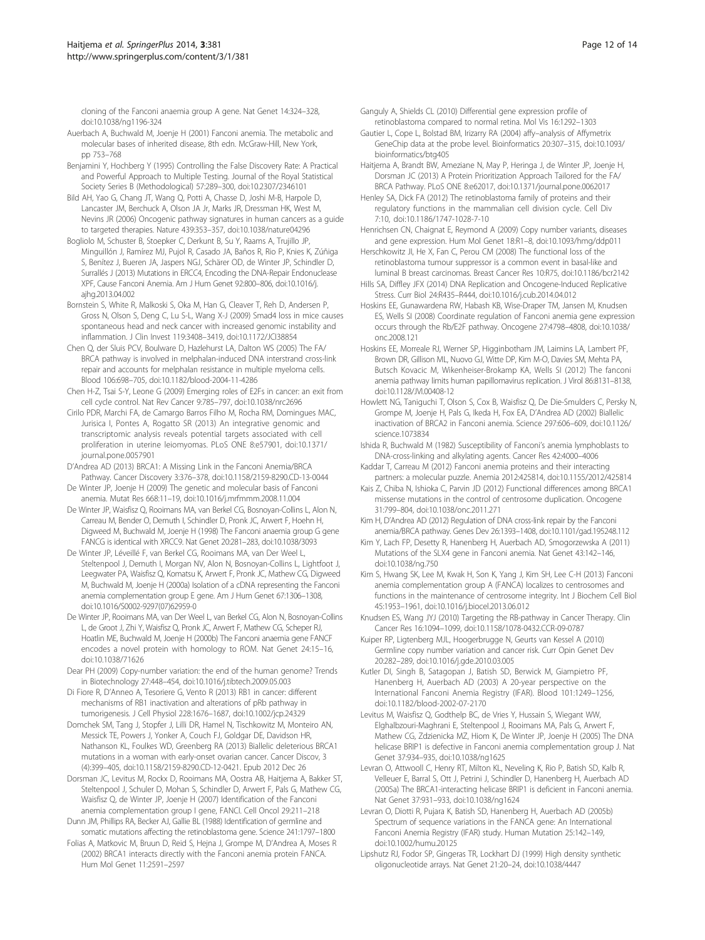<span id="page-11-0"></span>cloning of the Fanconi anaemia group A gene. Nat Genet 14:324–328, doi:10.1038/ng1196-324

- Auerbach A, Buchwald M, Joenje H (2001) Fanconi anemia. The metabolic and molecular bases of inherited disease, 8th edn. McGraw-Hill, New York, pp 753–768
- Benjamini Y, Hochberg Y (1995) Controlling the False Discovery Rate: A Practical and Powerful Approach to Multiple Testing. Journal of the Royal Statistical Society Series B (Methodological) 57:289–300, doi:10.2307/2346101
- Bild AH, Yao G, Chang JT, Wang Q, Potti A, Chasse D, Joshi M-B, Harpole D, Lancaster JM, Berchuck A, Olson JA Jr, Marks JR, Dressman HK, West M, Nevins JR (2006) Oncogenic pathway signatures in human cancers as a guide to targeted therapies. Nature 439:353-357, doi:10.1038/nature04296
- Bogliolo M, Schuster B, Stoepker C, Derkunt B, Su Y, Raams A, Trujillo JP, Minguillón J, Ramírez MJ, Pujol R, Casado JA, Baños R, Rio P, Knies K, Zúñiga S, Benítez J, Bueren JA, Jaspers NGJ, Schärer OD, de Winter JP, Schindler D, Surrallés J (2013) Mutations in ERCC4, Encoding the DNA-Repair Endonuclease XPF, Cause Fanconi Anemia. Am J Hum Genet 92:800–806, doi:10.1016/j. ajhg.2013.04.002
- Bornstein S, White R, Malkoski S, Oka M, Han G, Cleaver T, Reh D, Andersen P, Gross N, Olson S, Deng C, Lu S-L, Wang X-J (2009) Smad4 loss in mice causes spontaneous head and neck cancer with increased genomic instability and inflammation. J Clin Invest 119:3408–3419, doi:10.1172/JCI38854
- Chen Q, der Sluis PCV, Boulware D, Hazlehurst LA, Dalton WS (2005) The FA/ BRCA pathway is involved in melphalan-induced DNA interstrand cross-link repair and accounts for melphalan resistance in multiple myeloma cells. Blood 106:698–705, doi:10.1182/blood-2004-11-4286
- Chen H-Z, Tsai S-Y, Leone G (2009) Emerging roles of E2Fs in cancer: an exit from cell cycle control. Nat Rev Cancer 9:785–797, doi:10.1038/nrc2696
- Cirilo PDR, Marchi FA, de Camargo Barros Filho M, Rocha RM, Domingues MAC, Jurisica I, Pontes A, Rogatto SR (2013) An integrative genomic and transcriptomic analysis reveals potential targets associated with cell proliferation in uterine leiomyomas. PLoS ONE 8:e57901, doi:10.1371/ journal.pone.0057901
- D'Andrea AD (2013) BRCA1: A Missing Link in the Fanconi Anemia/BRCA Pathway. Cancer Discovery 3:376–378, doi:10.1158/2159-8290.CD-13-0044
- De Winter JP, Joenje H (2009) The genetic and molecular basis of Fanconi anemia. Mutat Res 668:11–19, doi:10.1016/j.mrfmmm.2008.11.004
- De Winter JP, Waisfisz Q, Rooimans MA, van Berkel CG, Bosnoyan-Collins L, Alon N, Carreau M, Bender O, Demuth I, Schindler D, Pronk JC, Arwert F, Hoehn H, Digweed M, Buchwald M, Joenje H (1998) The Fanconi anaemia group G gene FANCG is identical with XRCC9. Nat Genet 20:281–283, doi:10.1038/3093
- De Winter JP, Léveillé F, van Berkel CG, Rooimans MA, van Der Weel L, Steltenpool J, Demuth I, Morgan NV, Alon N, Bosnoyan-Collins L, Lightfoot J, Leegwater PA, Waisfisz Q, Komatsu K, Arwert F, Pronk JC, Mathew CG, Digweed M, Buchwald M, Joenje H (2000a) Isolation of a cDNA representing the Fanconi anemia complementation group E gene. Am J Hum Genet 67:1306–1308, doi:10.1016/S0002-9297(07)62959-0
- De Winter JP, Rooimans MA, van Der Weel L, van Berkel CG, Alon N, Bosnoyan-Collins L, de Groot J, Zhi Y, Waisfisz Q, Pronk JC, Arwert F, Mathew CG, Scheper RJ, Hoatlin ME, Buchwald M, Joenje H (2000b) The Fanconi anaemia gene FANCF encodes a novel protein with homology to ROM. Nat Genet 24:15–16, doi:10.1038/71626
- Dear PH (2009) Copy-number variation: the end of the human genome? Trends in Biotechnology 27:448–454, doi:10.1016/j.tibtech.2009.05.003
- Di Fiore R, D'Anneo A, Tesoriere G, Vento R (2013) RB1 in cancer: different mechanisms of RB1 inactivation and alterations of pRb pathway in tumorigenesis. J Cell Physiol 228:1676–1687, doi:10.1002/jcp.24329
- Domchek SM, Tang J, Stopfer J, Lilli DR, Hamel N, Tischkowitz M, Monteiro AN, Messick TE, Powers J, Yonker A, Couch FJ, Goldgar DE, Davidson HR, Nathanson KL, Foulkes WD, Greenberg RA (2013) Biallelic deleterious BRCA1 mutations in a woman with early-onset ovarian cancer. Cancer Discov, 3 (4):399–405, doi:10.1158/2159-8290.CD-12-0421. Epub 2012 Dec 26
- Dorsman JC, Levitus M, Rockx D, Rooimans MA, Oostra AB, Haitjema A, Bakker ST, Steltenpool J, Schuler D, Mohan S, Schindler D, Arwert F, Pals G, Mathew CG, Waisfisz Q, de Winter JP, Joenje H (2007) Identification of the Fanconi anemia complementation group I gene, FANCI. Cell Oncol 29:211–218
- Dunn JM, Phillips RA, Becker AJ, Gallie BL (1988) Identification of germline and somatic mutations affecting the retinoblastoma gene. Science 241:1797–1800
- Folias A, Matkovic M, Bruun D, Reid S, Hejna J, Grompe M, D'Andrea A, Moses R (2002) BRCA1 interacts directly with the Fanconi anemia protein FANCA. Hum Mol Genet 11:2591–2597
- Ganguly A, Shields CL (2010) Differential gene expression profile of retinoblastoma compared to normal retina. Mol Vis 16:1292–1303
- Gautier L, Cope L, Bolstad BM, Irizarry RA (2004) affy–analysis of Affymetrix GeneChip data at the probe level. Bioinformatics 20:307–315, doi:10.1093/ bioinformatics/btg405
- Haitjema A, Brandt BW, Ameziane N, May P, Heringa J, de Winter JP, Joenje H, Dorsman JC (2013) A Protein Prioritization Approach Tailored for the FA/ BRCA Pathway. PLoS ONE 8:e62017, doi:10.1371/journal.pone.0062017
- Henley SA, Dick FA (2012) The retinoblastoma family of proteins and their regulatory functions in the mammalian cell division cycle. Cell Div 7:10, doi:10.1186/1747-1028-7-10
- Henrichsen CN, Chaignat E, Reymond A (2009) Copy number variants, diseases and gene expression. Hum Mol Genet 18:R1–8, doi:10.1093/hmg/ddp011
- Herschkowitz JI, He X, Fan C, Perou CM (2008) The functional loss of the retinoblastoma tumour suppressor is a common event in basal-like and luminal B breast carcinomas. Breast Cancer Res 10:R75, doi:10.1186/bcr2142
- Hills SA, Diffley JFX (2014) DNA Replication and Oncogene-Induced Replicative Stress. Curr Biol 24:R435–R444, doi:10.1016/j.cub.2014.04.012
- Hoskins EE, Gunawardena RW, Habash KB, Wise-Draper TM, Jansen M, Knudsen ES, Wells SI (2008) Coordinate regulation of Fanconi anemia gene expression occurs through the Rb/E2F pathway. Oncogene 27:4798–4808, doi:10.1038/ onc.2008.121
- Hoskins EE, Morreale RJ, Werner SP, Higginbotham JM, Laimins LA, Lambert PF, Brown DR, Gillison ML, Nuovo GJ, Witte DP, Kim M-O, Davies SM, Mehta PA, Butsch Kovacic M, Wikenheiser-Brokamp KA, Wells SI (2012) The fanconi anemia pathway limits human papillomavirus replication. J Virol 86:8131–8138, doi:10.1128/JVI.00408-12
- Howlett NG, Taniguchi T, Olson S, Cox B, Waisfisz Q, De Die-Smulders C, Persky N, Grompe M, Joenje H, Pals G, Ikeda H, Fox EA, D'Andrea AD (2002) Biallelic inactivation of BRCA2 in Fanconi anemia. Science 297:606–609, doi:10.1126/ science.1073834
- Ishida R, Buchwald M (1982) Susceptibility of Fanconi's anemia lymphoblasts to DNA-cross-linking and alkylating agents. Cancer Res 42:4000–4006
- Kaddar T, Carreau M (2012) Fanconi anemia proteins and their interacting partners: a molecular puzzle. Anemia 2012:425814, doi:10.1155/2012/425814
- Kais Z, Chiba N, Ishioka C, Parvin JD (2012) Functional differences among BRCA1 missense mutations in the control of centrosome duplication. Oncogene 31:799–804, doi:10.1038/onc.2011.271
- Kim H, D'Andrea AD (2012) Regulation of DNA cross-link repair by the Fanconi anemia/BRCA pathway. Genes Dev 26:1393–1408, doi:10.1101/gad.195248.112
- Kim Y, Lach FP, Desetty R, Hanenberg H, Auerbach AD, Smogorzewska A (2011) Mutations of the SLX4 gene in Fanconi anemia. Nat Genet 43:142–146, doi:10.1038/ng.750
- Kim S, Hwang SK, Lee M, Kwak H, Son K, Yang J, Kim SH, Lee C-H (2013) Fanconi anemia complementation group A (FANCA) localizes to centrosomes and functions in the maintenance of centrosome integrity. Int J Biochem Cell Biol 45:1953–1961, doi:10.1016/j.biocel.2013.06.012
- Knudsen ES, Wang JYJ (2010) Targeting the RB-pathway in Cancer Therapy. Clin Cancer Res 16:1094–1099, doi:10.1158/1078-0432.CCR-09-0787
- Kuiper RP, Ligtenberg MJL, Hoogerbrugge N, Geurts van Kessel A (2010) Germline copy number variation and cancer risk. Curr Opin Genet Dev 20:282–289, doi:10.1016/j.gde.2010.03.005
- Kutler DI, Singh B, Satagopan J, Batish SD, Berwick M, Giampietro PF, Hanenberg H, Auerbach AD (2003) A 20-year perspective on the International Fanconi Anemia Registry (IFAR). Blood 101:1249–1256, doi:10.1182/blood-2002-07-2170
- Levitus M, Waisfisz Q, Godthelp BC, de Vries Y, Hussain S, Wiegant WW, Elghalbzouri-Maghrani E, Steltenpool J, Rooimans MA, Pals G, Arwert F, Mathew CG, Zdzienicka MZ, Hiom K, De Winter JP, Joenje H (2005) The DNA helicase BRIP1 is defective in Fanconi anemia complementation group J. Nat Genet 37:934–935, doi:10.1038/ng1625
- Levran O, Attwooll C, Henry RT, Milton KL, Neveling K, Rio P, Batish SD, Kalb R, Velleuer E, Barral S, Ott J, Petrini J, Schindler D, Hanenberg H, Auerbach AD (2005a) The BRCA1-interacting helicase BRIP1 is deficient in Fanconi anemia. Nat Genet 37:931–933, doi:10.1038/ng1624
- Levran O, Diotti R, Pujara K, Batish SD, Hanenberg H, Auerbach AD (2005b) Spectrum of sequence variations in the FANCA gene: An International Fanconi Anemia Registry (IFAR) study. Human Mutation 25:142–149, doi:10.1002/humu.20125
- Lipshutz RJ, Fodor SP, Gingeras TR, Lockhart DJ (1999) High density synthetic oligonucleotide arrays. Nat Genet 21:20–24, doi:10.1038/4447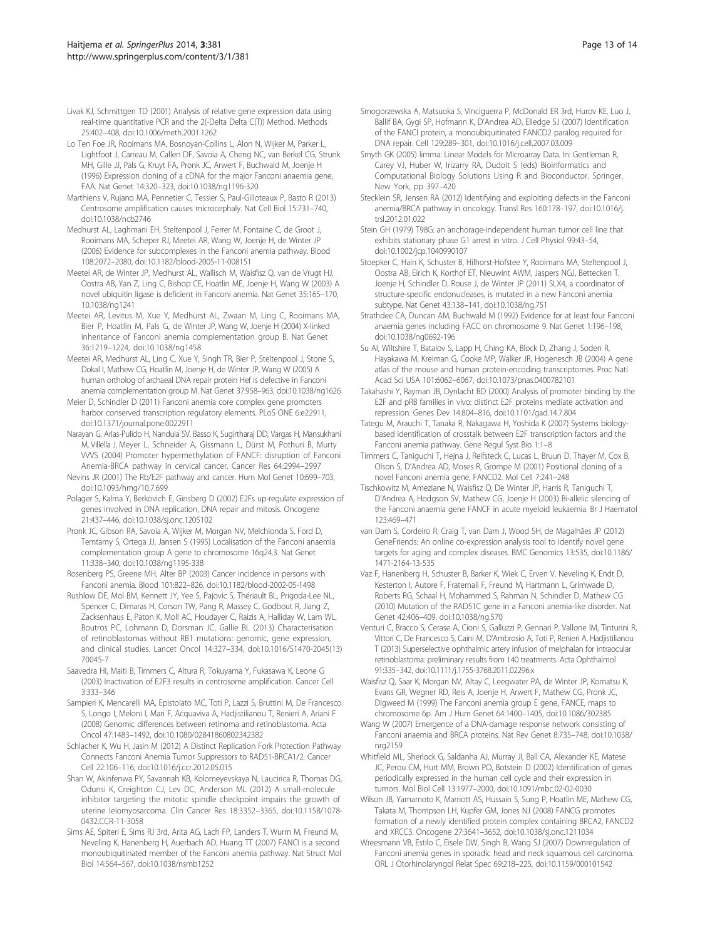- <span id="page-12-0"></span>Livak KJ, Schmittgen TD (2001) Analysis of relative gene expression data using real-time quantitative PCR and the 2(-Delta Delta C(T)) Method. Methods 25:402–408, doi:10.1006/meth.2001.1262
- Lo Ten Foe JR, Rooimans MA, Bosnoyan-Collins L, Alon N, Wijker M, Parker L, Lightfoot J, Carreau M, Callen DF, Savoia A, Cheng NC, van Berkel CG, Strunk MH, Gille JJ, Pals G, Kruyt FA, Pronk JC, Arwert F, Buchwald M, Joenje H (1996) Expression cloning of a cDNA for the major Fanconi anaemia gene, FAA. Nat Genet 14:320–323, doi:10.1038/ng1196-320
- Marthiens V, Rujano MA, Pennetier C, Tessier S, Paul-Gilloteaux P, Basto R (2013) Centrosome amplification causes microcephaly. Nat Cell Biol 15:731–740, doi:10.1038/ncb2746
- Medhurst AL, Laghmani EH, Steltenpool J, Ferrer M, Fontaine C, de Groot J, Rooimans MA, Scheper RJ, Meetei AR, Wang W, Joenje H, de Winter JP (2006) Evidence for subcomplexes in the Fanconi anemia pathway. Blood 108:2072–2080, doi:10.1182/blood-2005-11-008151
- Meetei AR, de Winter JP, Medhurst AL, Wallisch M, Waisfisz Q, van de Vrugt HJ, Oostra AB, Yan Z, Ling C, Bishop CE, Hoatlin ME, Joenje H, Wang W (2003) A novel ubiquitin ligase is deficient in Fanconi anemia. Nat Genet 35:165–170, 10.1038/ng1241
- Meetei AR, Levitus M, Xue Y, Medhurst AL, Zwaan M, Ling C, Rooimans MA, Bier P, Hoatlin M, Pals G, de Winter JP, Wang W, Joenje H (2004) X-linked inheritance of Fanconi anemia complementation group B. Nat Genet 36:1219–1224, doi:10.1038/ng1458
- Meetei AR, Medhurst AL, Ling C, Xue Y, Singh TR, Bier P, Steltenpool J, Stone S, Dokal I, Mathew CG, Hoatlin M, Joenje H, de Winter JP, Wang W (2005) A human ortholog of archaeal DNA repair protein Hef is defective in Fanconi anemia complementation group M. Nat Genet 37:958–963, doi:10.1038/ng1626
- Meier D, Schindler D (2011) Fanconi anemia core complex gene promoters harbor conserved transcription regulatory elements. PLoS ONE 6:e22911, doi:10.1371/journal.pone.0022911
- Narayan G, Arias-Pulido H, Nandula SV, Basso K, Sugirtharaj DD, Vargas H, Mansukhani M, Villella J, Meyer L, Schneider A, Gissmann L, Dürst M, Pothuri B, Murty VVVS (2004) Promoter hypermethylation of FANCF: disruption of Fanconi Anemia-BRCA pathway in cervical cancer. Cancer Res 64:2994–2997
- Nevins JR (2001) The Rb/E2F pathway and cancer. Hum Mol Genet 10:699–703, doi:10.1093/hmg/10.7.699
- Polager S, Kalma Y, Berkovich E, Ginsberg D (2002) E2Fs up-regulate expression of genes involved in DNA replication, DNA repair and mitosis. Oncogene 21:437–446, doi:10.1038/sj.onc.1205102
- Pronk JC, Gibson RA, Savoia A, Wijker M, Morgan NV, Melchionda S, Ford D, Temtamy S, Ortega JJ, Jansen S (1995) Localisation of the Fanconi anaemia complementation group A gene to chromosome 16q24.3. Nat Genet 11:338–340, doi:10.1038/ng1195-338
- Rosenberg PS, Greene MH, Alter BP (2003) Cancer incidence in persons with Fanconi anemia. Blood 101:822–826, doi:10.1182/blood-2002-05-1498
- Rushlow DE, Mol BM, Kennett JY, Yee S, Pajovic S, Thériault BL, Prigoda-Lee NL, Spencer C, Dimaras H, Corson TW, Pang R, Massey C, Godbout R, Jiang Z, Zacksenhaus E, Paton K, Moll AC, Houdayer C, Raizis A, Halliday W, Lam WL, Boutros PC, Lohmann D, Dorsman JC, Gallie BL (2013) Characterisation of retinoblastomas without RB1 mutations: genomic, gene expression, and clinical studies. Lancet Oncol 14:327–334, doi:10.1016/S1470-2045(13) 70045-7
- Saavedra HI, Maiti B, Timmers C, Altura R, Tokuyama Y, Fukasawa K, Leone G (2003) Inactivation of E2F3 results in centrosome amplification. Cancer Cell 3:333–346
- Sampieri K, Mencarelli MA, Epistolato MC, Toti P, Lazzi S, Bruttini M, De Francesco S, Longo I, Meloni I, Mari F, Acquaviva A, Hadjistilianou T, Renieri A, Ariani F (2008) Genomic differences between retinoma and retinoblastoma. Acta Oncol 47:1483–1492, doi:10.1080/02841860802342382
- Schlacher K, Wu H, Jasin M (2012) A Distinct Replication Fork Protection Pathway Connects Fanconi Anemia Tumor Suppressors to RAD51-BRCA1/2. Cancer Cell 22:106–116, doi:10.1016/j.ccr.2012.05.015
- Shan W, Akinfenwa PY, Savannah KB, Kolomeyevskaya N, Laucirica R, Thomas DG, Odunsi K, Creighton CJ, Lev DC, Anderson ML (2012) A small-molecule inhibitor targeting the mitotic spindle checkpoint impairs the growth of uterine leiomyosarcoma. Clin Cancer Res 18:3352–3365, doi:10.1158/1078- 0432.CCR-11-3058
- Sims AE, Spiteri E, Sims RJ 3rd, Arita AG, Lach FP, Landers T, Wurm M, Freund M, Neveling K, Hanenberg H, Auerbach AD, Huang TT (2007) FANCI is a second monoubiquitinated member of the Fanconi anemia pathway. Nat Struct Mol Biol 14:564–567, doi:10.1038/nsmb1252
- Smogorzewska A, Matsuoka S, Vinciguerra P, McDonald ER 3rd, Hurov KE, Luo J, Ballif BA, Gygi SP, Hofmann K, D'Andrea AD, Elledge SJ (2007) Identification of the FANCI protein, a monoubiquitinated FANCD2 paralog required for DNA repair. Cell 129:289–301, doi:10.1016/j.cell.2007.03.009
- Smyth GK (2005) limma: Linear Models for Microarray Data. In: Gentleman R, Carey VJ, Huber W, Irizarry RA, Dudoit S (eds) Bioinformatics and Computational Biology Solutions Using R and Bioconductor. Springer, New York, pp 397–420
- Stecklein SR, Jensen RA (2012) Identifying and exploiting defects in the Fanconi anemia/BRCA pathway in oncology. Transl Res 160:178–197, doi:10.1016/j. trsl.2012.01.022
- Stein GH (1979) T98G: an anchorage-independent human tumor cell line that exhibits stationary phase G1 arrest in vitro. J Cell Physiol 99:43–54, doi:10.1002/jcp.1040990107
- Stoepker C, Hain K, Schuster B, Hilhorst-Hofstee Y, Rooimans MA, Steltenpool J, Oostra AB, Eirich K, Korthof ET, Nieuwint AWM, Jaspers NGJ, Bettecken T, Joenje H, Schindler D, Rouse J, de Winter JP (2011) SLX4, a coordinator of structure-specific endonucleases, is mutated in a new Fanconi anemia subtype. Nat Genet 43:138–141, doi:10.1038/ng.751
- Strathdee CA, Duncan AM, Buchwald M (1992) Evidence for at least four Fanconi anaemia genes including FACC on chromosome 9. Nat Genet 1:196–198, doi:10.1038/ng0692-196
- Su AI, Wiltshire T, Batalov S, Lapp H, Ching KA, Block D, Zhang J, Soden R, Hayakawa M, Kreiman G, Cooke MP, Walker JR, Hogenesch JB (2004) A gene atlas of the mouse and human protein-encoding transcriptomes. Proc Natl Acad Sci USA 101:6062–6067, doi:10.1073/pnas.0400782101
- Takahashi Y, Rayman JB, Dynlacht BD (2000) Analysis of promoter binding by the E2F and pRB families in vivo: distinct E2F proteins mediate activation and repression. Genes Dev 14:804–816, doi:10.1101/gad.14.7.804
- Tategu M, Arauchi T, Tanaka R, Nakagawa H, Yoshida K (2007) Systems biologybased identification of crosstalk between E2F transcription factors and the Fanconi anemia pathway. Gene Regul Syst Bio 1:1–8
- Timmers C, Taniguchi T, Hejna J, Reifsteck C, Lucas L, Bruun D, Thayer M, Cox B, Olson S, D'Andrea AD, Moses R, Grompe M (2001) Positional cloning of a novel Fanconi anemia gene, FANCD2. Mol Cell 7:241–248
- Tischkowitz M, Ameziane N, Waisfisz Q, De Winter JP, Harris R, Taniguchi T, D'Andrea A, Hodgson SV, Mathew CG, Joenje H (2003) Bi-allelic silencing of the Fanconi anaemia gene FANCF in acute myeloid leukaemia. Br J Haematol 123:469–471
- van Dam S, Cordeiro R, Craig T, van Dam J, Wood SH, de Magalhães JP (2012) GeneFriends: An online co-expression analysis tool to identify novel gene targets for aging and complex diseases. BMC Genomics 13:535, doi:10.1186/ 1471-2164-13-535
- Vaz F, Hanenberg H, Schuster B, Barker K, Wiek C, Erven V, Neveling K, Endt D, Kesterton I, Autore F, Fraternali F, Freund M, Hartmann L, Grimwade D, Roberts RG, Schaal H, Mohammed S, Rahman N, Schindler D, Mathew CG (2010) Mutation of the RAD51C gene in a Fanconi anemia-like disorder. Nat Genet 42:406–409, doi:10.1038/ng.570
- Venturi C, Bracco S, Cerase A, Cioni S, Galluzzi P, Gennari P, Vallone IM, Tinturini R, Vittori C, De Francesco S, Caini M, D'Ambrosio A, Toti P, Renieri A, Hadjistilianou T (2013) Superselective ophthalmic artery infusion of melphalan for intraocular retinoblastoma: preliminary results from 140 treatments. Acta Ophthalmol 91:335–342, doi:10.1111/j.1755-3768.2011.02296.x
- Waisfisz Q, Saar K, Morgan NV, Altay C, Leegwater PA, de Winter JP, Komatsu K, Evans GR, Wegner RD, Reis A, Joenje H, Arwert F, Mathew CG, Pronk JC, Digweed M (1999) The Fanconi anemia group E gene, FANCE, maps to chromosome 6p. Am J Hum Genet 64:1400–1405, doi:10.1086/302385
- Wang W (2007) Emergence of a DNA-damage response network consisting of Fanconi anaemia and BRCA proteins. Nat Rev Genet 8:735–748, doi:10.1038/ nrg2159
- Whitfield ML, Sherlock G, Saldanha AJ, Murray JI, Ball CA, Alexander KE, Matese JC, Perou CM, Hurt MM, Brown PO, Botstein D (2002) Identification of genes periodically expressed in the human cell cycle and their expression in tumors. Mol Biol Cell 13:1977–2000, doi:10.1091/mbc.02-02-0030
- Wilson JB, Yamamoto K, Marriott AS, Hussain S, Sung P, Hoatlin ME, Mathew CG, Takata M, Thompson LH, Kupfer GM, Jones NJ (2008) FANCG promotes formation of a newly identified protein complex containing BRCA2, FANCD2 and XRCC3. Oncogene 27:3641–3652, doi:10.1038/sj.onc.1211034
- Wreesmann VB, Estilo C, Eisele DW, Singh B, Wang SJ (2007) Downregulation of Fanconi anemia genes in sporadic head and neck squamous cell carcinoma. ORL J Otorhinolaryngol Relat Spec 69:218–225, doi:10.1159/000101542